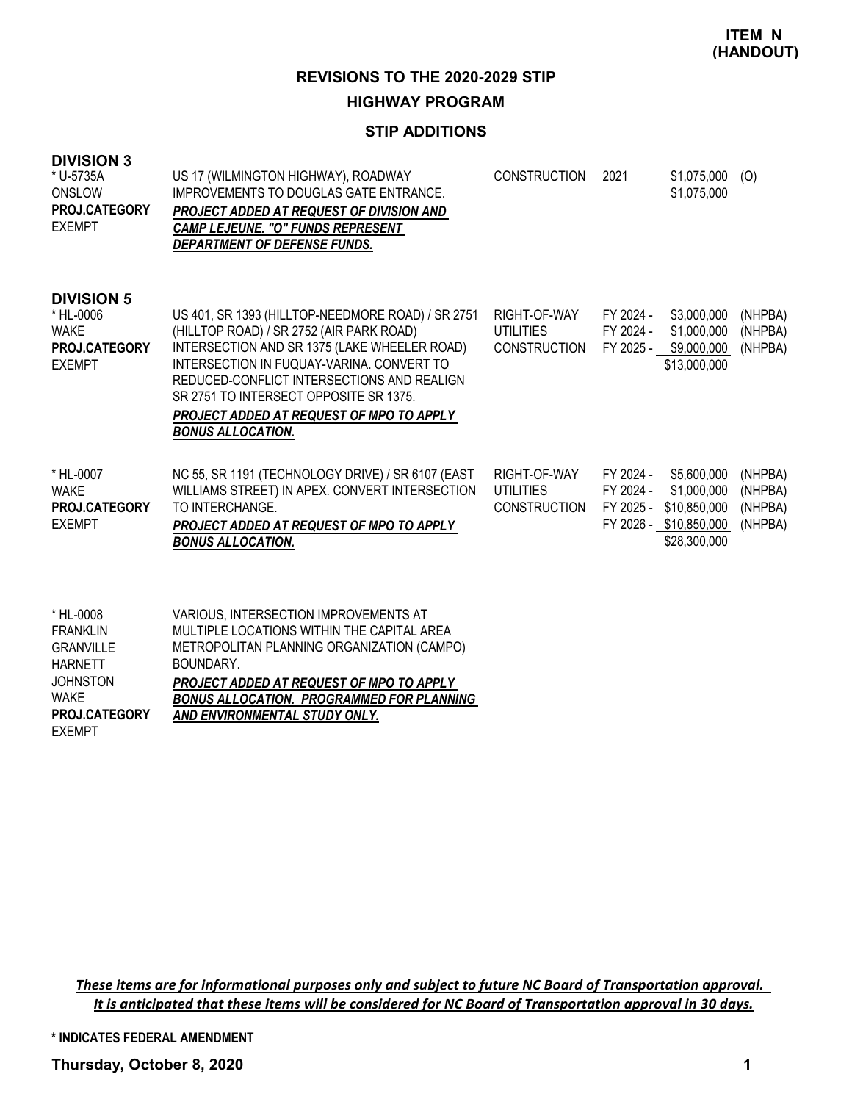### **STIP ADDITIONS**

| <b>DIVISION 3</b><br>* U-5735A<br>ONSLOW<br>PROJ.CATEGORY<br><b>EXEMPT</b>      | US 17 (WILMINGTON HIGHWAY), ROADWAY<br>IMPROVEMENTS TO DOUGLAS GATE ENTRANCE.<br>PROJECT ADDED AT REQUEST OF DIVISION AND<br><b>CAMP LEJEUNE. "O" FUNDS REPRESENT</b><br>DEPARTMENT OF DEFENSE FUNDS.                                                                                                                                                      | <b>CONSTRUCTION</b>                                     | 2021                                             | \$1,075,000<br>\$1,075,000                                                 | (0)                                      |
|---------------------------------------------------------------------------------|------------------------------------------------------------------------------------------------------------------------------------------------------------------------------------------------------------------------------------------------------------------------------------------------------------------------------------------------------------|---------------------------------------------------------|--------------------------------------------------|----------------------------------------------------------------------------|------------------------------------------|
| <b>DIVISION 5</b><br>* HL-0006<br><b>WAKE</b><br>PROJ.CATEGORY<br><b>EXEMPT</b> | US 401, SR 1393 (HILLTOP-NEEDMORE ROAD) / SR 2751<br>(HILLTOP ROAD) / SR 2752 (AIR PARK ROAD)<br>INTERSECTION AND SR 1375 (LAKE WHEELER ROAD)<br>INTERSECTION IN FUQUAY-VARINA, CONVERT TO<br>REDUCED-CONFLICT INTERSECTIONS AND REALIGN<br>SR 2751 TO INTERSECT OPPOSITE SR 1375.<br>PROJECT ADDED AT REQUEST OF MPO TO APPLY<br><b>BONUS ALLOCATION.</b> | RIGHT-OF-WAY<br><b>UTILITIES</b><br><b>CONSTRUCTION</b> | FY 2024 -<br>FY 2024 -<br>FY 2025 -              | \$3,000,000<br>\$1,000,000<br>\$9,000,000<br>\$13,000,000                  | (NHPBA)<br>(NHPBA)<br>(NHPBA)            |
| * HL-0007<br><b>WAKE</b><br>PROJ.CATEGORY<br><b>EXEMPT</b>                      | NC 55, SR 1191 (TECHNOLOGY DRIVE) / SR 6107 (EAST<br>WILLIAMS STREET) IN APEX. CONVERT INTERSECTION<br>TO INTERCHANGE.<br>PROJECT ADDED AT REQUEST OF MPO TO APPLY<br><b>BONUS ALLOCATION.</b>                                                                                                                                                             | RIGHT-OF-WAY<br><b>UTILITIES</b><br><b>CONSTRUCTION</b> | FY 2024 -<br>FY 2024 -<br>FY 2025 -<br>FY 2026 - | \$5,600,000<br>\$1,000,000<br>\$10,850,000<br>\$10,850,000<br>\$28,300,000 | (NHPBA)<br>(NHPBA)<br>(NHPBA)<br>(NHPBA) |
| * HL-0008                                                                       | VARIOUS. INTERSECTION IMPROVEMENTS AT                                                                                                                                                                                                                                                                                                                      |                                                         |                                                  |                                                                            |                                          |

| <sub>ື</sub> HL-∪∪∪8 | VARIOUS. INTERSECTION IMPROVEMENTS AT            |
|----------------------|--------------------------------------------------|
| <b>FRANKLIN</b>      | MULTIPLE LOCATIONS WITHIN THE CAPITAL AREA       |
| <b>GRANVILLE</b>     | METROPOLITAN PLANNING ORGANIZATION (CAMPO)       |
| HARNETT              | BOUNDARY.                                        |
| <b>JOHNSTON</b>      | PROJECT ADDED AT REQUEST OF MPO TO APPLY         |
| WAKE                 | <b>BONUS ALLOCATION. PROGRAMMED FOR PLANNING</b> |
| <b>PROJ.CATEGORY</b> | AND ENVIRONMENTAL STUDY ONLY.                    |
| <b>EXEMPT</b>        |                                                  |

These items are for informational purposes only and subject to future NC Board of Transportation approval. It is anticipated that these items will be considered for NC Board of Transportation approval in 30 days.

**\* INDICATES FEDERAL AMENDMENT**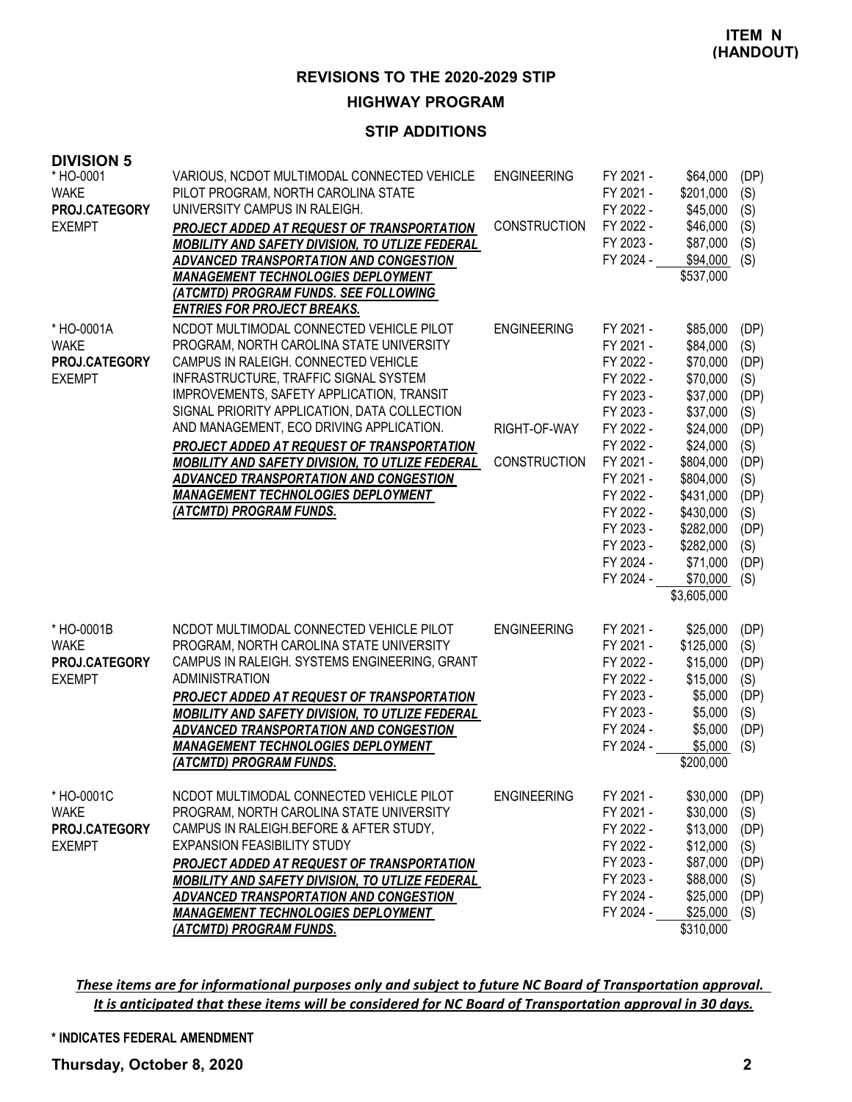### **STIP ADDITIONS**

| <b>DIVISION 5</b><br>* HO-0001<br><b>WAKE</b><br>PROJ.CATEGORY<br><b>EXEMPT</b> | VARIOUS, NCDOT MULTIMODAL CONNECTED VEHICLE<br>PILOT PROGRAM, NORTH CAROLINA STATE<br>UNIVERSITY CAMPUS IN RALEIGH.<br>PROJECT ADDED AT REQUEST OF TRANSPORTATION<br>MOBILITY AND SAFETY DIVISION, TO UTLIZE FEDERAL<br>ADVANCED TRANSPORTATION AND CONGESTION<br><b>MANAGEMENT TECHNOLOGIES DEPLOYMENT</b><br>(ATCMTD) PROGRAM FUNDS. SEE FOLLOWING<br><b>ENTRIES FOR PROJECT BREAKS.</b>                                                                                                                                        | <b>ENGINEERING</b><br><b>CONSTRUCTION</b>                 | FY 2021 -<br>FY 2021 -<br>FY 2022 -<br>FY 2022 -<br>FY 2023 -<br>FY 2024 -                                                                                                                                   | \$64,000<br>\$201,000<br>\$45,000<br>\$46,000<br>\$87,000<br>\$94,000<br>\$537,000                                                                                                                                | (DP)<br>(S)<br>(S)<br>(S)<br>(S)<br>(S)                                                                              |
|---------------------------------------------------------------------------------|-----------------------------------------------------------------------------------------------------------------------------------------------------------------------------------------------------------------------------------------------------------------------------------------------------------------------------------------------------------------------------------------------------------------------------------------------------------------------------------------------------------------------------------|-----------------------------------------------------------|--------------------------------------------------------------------------------------------------------------------------------------------------------------------------------------------------------------|-------------------------------------------------------------------------------------------------------------------------------------------------------------------------------------------------------------------|----------------------------------------------------------------------------------------------------------------------|
| * HO-0001A<br><b>WAKE</b><br>PROJ.CATEGORY<br><b>EXEMPT</b>                     | NCDOT MULTIMODAL CONNECTED VEHICLE PILOT<br>PROGRAM, NORTH CAROLINA STATE UNIVERSITY<br>CAMPUS IN RALEIGH. CONNECTED VEHICLE<br>INFRASTRUCTURE, TRAFFIC SIGNAL SYSTEM<br>IMPROVEMENTS, SAFETY APPLICATION, TRANSIT<br>SIGNAL PRIORITY APPLICATION, DATA COLLECTION<br>AND MANAGEMENT, ECO DRIVING APPLICATION.<br>PROJECT ADDED AT REQUEST OF TRANSPORTATION<br>MOBILITY AND SAFETY DIVISION, TO UTLIZE FEDERAL<br>ADVANCED TRANSPORTATION AND CONGESTION<br><b>MANAGEMENT TECHNOLOGIES DEPLOYMENT</b><br>(ATCMTD) PROGRAM FUNDS. | <b>ENGINEERING</b><br>RIGHT-OF-WAY<br><b>CONSTRUCTION</b> | FY 2021 -<br>FY 2021 -<br>FY 2022 -<br>FY 2022 -<br>FY 2023 -<br>FY 2023 -<br>FY 2022 -<br>FY 2022 -<br>FY 2021 -<br>FY 2021 -<br>FY 2022 -<br>FY 2022 -<br>FY 2023 -<br>FY 2023 -<br>FY 2024 -<br>FY 2024 - | \$85,000<br>\$84,000<br>\$70,000<br>\$70,000<br>\$37,000<br>\$37,000<br>\$24,000<br>\$24,000<br>\$804,000<br>\$804,000<br>\$431,000<br>\$430,000<br>\$282,000<br>\$282,000<br>\$71,000<br>\$70,000<br>\$3,605,000 | (DP)<br>(S)<br>(DP)<br>(S)<br>(DP)<br>(S)<br>(DP)<br>(S)<br>(DP)<br>(S)<br>(DP)<br>(S)<br>(DP)<br>(S)<br>(DP)<br>(S) |
| * HO-0001B<br><b>WAKE</b><br>PROJ.CATEGORY<br><b>EXEMPT</b>                     | NCDOT MULTIMODAL CONNECTED VEHICLE PILOT<br>PROGRAM, NORTH CAROLINA STATE UNIVERSITY<br>CAMPUS IN RALEIGH. SYSTEMS ENGINEERING, GRANT<br><b>ADMINISTRATION</b><br>PROJECT ADDED AT REQUEST OF TRANSPORTATION<br>MOBILITY AND SAFETY DIVISION, TO UTLIZE FEDERAL<br>ADVANCED TRANSPORTATION AND CONGESTION<br><b>MANAGEMENT TECHNOLOGIES DEPLOYMENT</b><br>(ATCMTD) PROGRAM FUNDS.                                                                                                                                                 | <b>ENGINEERING</b>                                        | FY 2021 -<br>FY 2021 -<br>FY 2022 -<br>FY 2022 -<br>FY 2023 -<br>FY 2023 -<br>FY 2024 -<br>FY 2024 -                                                                                                         | \$25,000<br>\$125,000<br>\$15,000<br>\$15,000<br>\$5,000<br>\$5,000<br>\$5,000<br>\$5,000<br>\$200,000                                                                                                            | (DP)<br>(S)<br>(DP)<br>(S)<br>(DP)<br>(S)<br>(DP)<br>(S)                                                             |
| * HO-0001C<br><b>WAKE</b><br>PROJ.CATEGORY<br><b>EXEMPT</b>                     | NCDOT MULTIMODAL CONNECTED VEHICLE PILOT<br>PROGRAM, NORTH CAROLINA STATE UNIVERSITY<br>CAMPUS IN RALEIGH.BEFORE & AFTER STUDY,<br><b>EXPANSION FEASIBILITY STUDY</b><br>PROJECT ADDED AT REQUEST OF TRANSPORTATION<br>MOBILITY AND SAFETY DIVISION, TO UTLIZE FEDERAL<br>ADVANCED TRANSPORTATION AND CONGESTION<br><b>MANAGEMENT TECHNOLOGIES DEPLOYMENT</b><br>(ATCMTD) PROGRAM FUNDS.                                                                                                                                          | <b>ENGINEERING</b>                                        | FY 2021 -<br>FY 2021 -<br>FY 2022 -<br>FY 2022 -<br>FY 2023 -<br>FY 2023 -<br>FY 2024 -<br>FY 2024 -                                                                                                         | \$30,000<br>\$30,000<br>\$13,000<br>\$12,000<br>\$87,000<br>\$88,000<br>\$25,000<br>\$25,000<br>\$310,000                                                                                                         | (DP)<br>(S)<br>(DP)<br>(S)<br>(DP)<br>(S)<br>(DP)<br>(S)                                                             |

These items are for informational purposes only and subject to future NC Board of Transportation approval. It is anticipated that these items will be considered for NC Board of Transportation approval in 30 days.

#### **\* INDICATES FEDERAL AMENDMENT**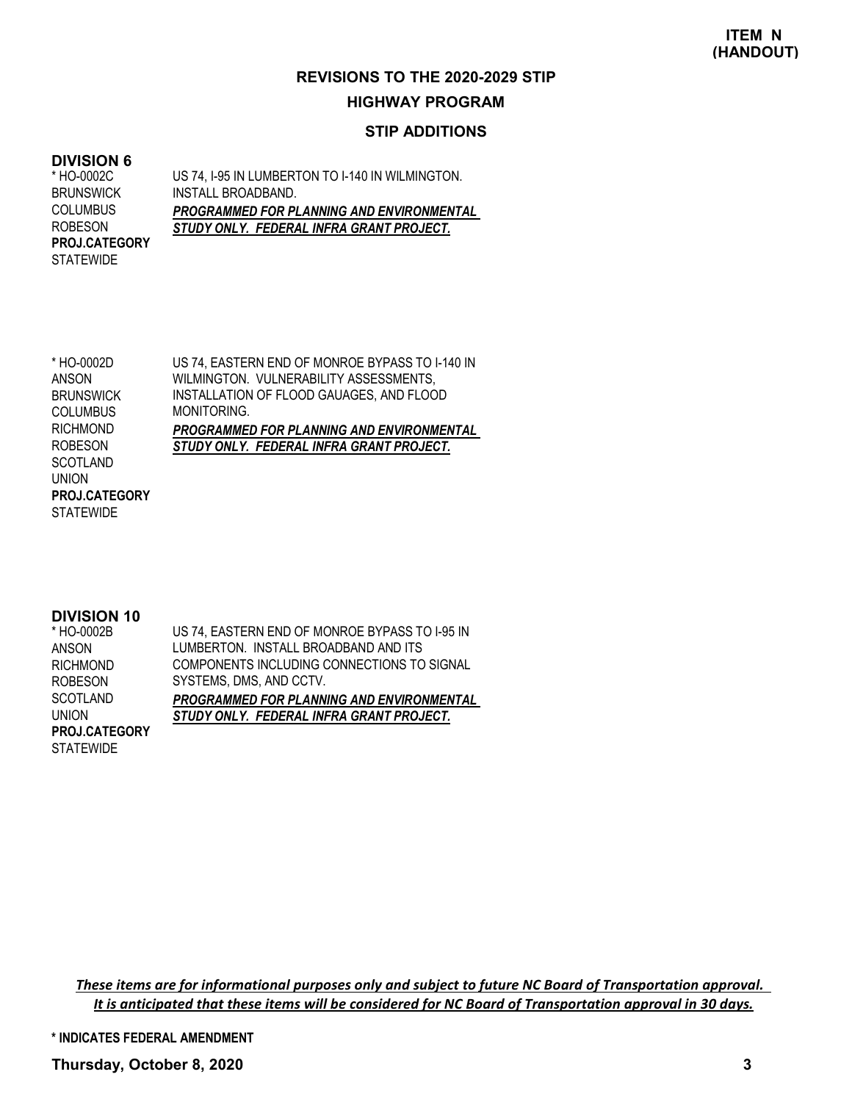### **STIP ADDITIONS**

#### **DIVISION 6**

US 74, I-95 IN LUMBERTON TO I-140 IN WILMINGTON. INSTALL BROADBAND. *PROGRAMMED FOR PLANNING AND ENVIRONMENTAL STUDY ONLY. FEDERAL INFRA GRANT PROJECT.* \* HO-0002C **BRUNSWICK** COLUMBUS ROBESON **STATEWIDE PROJ.CATEGORY**

US 74, EASTERN END OF MONROE BYPASS TO I-140 IN WILMINGTON. VULNERABILITY ASSESSMENTS, INSTALLATION OF FLOOD GAUAGES, AND FLOOD MONITORING. *PROGRAMMED FOR PLANNING AND ENVIRONMENTAL STUDY ONLY. FEDERAL INFRA GRANT PROJECT.* \* HO-0002D ANSON **BRUNSWICK COLUMBUS** RICHMOND ROBESON **SCOTLAND** UNION **STATEWIDE PROJ.CATEGORY**

#### **DIVISION 10**

| * HO-0002B       | US 74, EASTERN END OF MONROE BYPASS TO 1-95 IN   |
|------------------|--------------------------------------------------|
| ANSON            | LUMBERTON. INSTALL BROADBAND AND ITS             |
| <b>RICHMOND</b>  | COMPONENTS INCLUDING CONNECTIONS TO SIGNAL       |
| <b>ROBESON</b>   | SYSTEMS, DMS, AND CCTV.                          |
| <b>SCOTLAND</b>  | <b>PROGRAMMED FOR PLANNING AND ENVIRONMENTAL</b> |
| UNION            | STUDY ONLY. FEDERAL INFRA GRANT PROJECT.         |
| PROJ.CATEGORY    |                                                  |
| <b>STATEWIDE</b> |                                                  |

These items are for informational purposes only and subject to future NC Board of Transportation approval. It is anticipated that these items will be considered for NC Board of Transportation approval in 30 days.

**\* INDICATES FEDERAL AMENDMENT**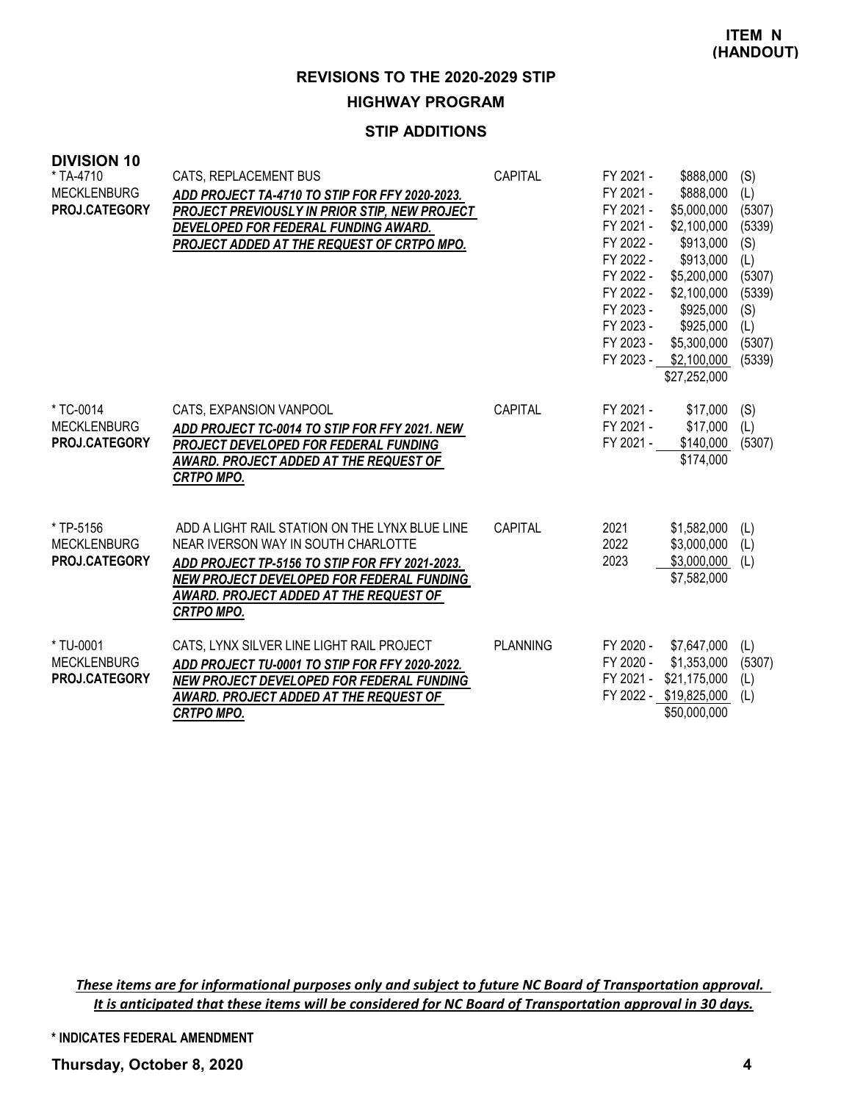### **STIP ADDITIONS**

| <b>DIVISION 10</b><br>* TA-4710<br><b>MECKLENBURG</b><br>PROJ.CATEGORY | CATS, REPLACEMENT BUS<br>ADD PROJECT TA-4710 TO STIP FOR FFY 2020-2023.<br>PROJECT PREVIOUSLY IN PRIOR STIP, NEW PROJECT<br>DEVELOPED FOR FEDERAL FUNDING AWARD.<br>PROJECT ADDED AT THE REQUEST OF CRTPO MPO.                                      | CAPITAL         | FY 2021 -<br>FY 2021 -<br>FY 2021 -<br>FY 2021 -<br>FY 2022 -<br>FY 2022 -<br>FY 2022 -<br>FY 2022 -<br>FY 2023 -<br>FY 2023 -<br>FY 2023 - | \$888,000<br>\$888,000<br>\$5,000,000<br>\$2,100,000<br>\$913,000<br>\$913,000<br>\$5,200,000<br>\$2,100,000<br>\$925,000<br>\$925,000<br>\$5,300,000<br>FY 2023 - \$2,100,000<br>\$27,252,000 | (S)<br>(L)<br>(5307)<br>(5339)<br>(S)<br>(L)<br>(5307)<br>(5339)<br>(S)<br>(L)<br>(5307)<br>(5339) |
|------------------------------------------------------------------------|-----------------------------------------------------------------------------------------------------------------------------------------------------------------------------------------------------------------------------------------------------|-----------------|---------------------------------------------------------------------------------------------------------------------------------------------|------------------------------------------------------------------------------------------------------------------------------------------------------------------------------------------------|----------------------------------------------------------------------------------------------------|
| * TC-0014<br><b>MECKLENBURG</b><br><b>PROJ.CATEGORY</b>                | CATS, EXPANSION VANPOOL<br>ADD PROJECT TC-0014 TO STIP FOR FFY 2021. NEW<br>PROJECT DEVELOPED FOR FEDERAL FUNDING<br>AWARD. PROJECT ADDED AT THE REQUEST OF<br><b>CRTPO MPO.</b>                                                                    | CAPITAL         | FY 2021 -<br>FY 2021 -<br>FY 2021 -                                                                                                         | \$17,000<br>\$17,000<br>\$140,000<br>\$174,000                                                                                                                                                 | (S)<br>(L)<br>(5307)                                                                               |
| * TP-5156<br><b>MECKLENBURG</b><br>PROJ.CATEGORY                       | ADD A LIGHT RAIL STATION ON THE LYNX BLUE LINE<br>NEAR IVERSON WAY IN SOUTH CHARLOTTE<br>ADD PROJECT TP-5156 TO STIP FOR FFY 2021-2023.<br>NEW PROJECT DEVELOPED FOR FEDERAL FUNDING<br>AWARD. PROJECT ADDED AT THE REQUEST OF<br><b>CRTPO MPO.</b> | CAPITAL         | 2021<br>2022<br>2023                                                                                                                        | \$1,582,000<br>\$3,000,000<br>\$3,000,000<br>\$7,582,000                                                                                                                                       | (L)<br>(L)<br>(L)                                                                                  |
| * TU-0001<br><b>MECKLENBURG</b><br><b>PROJ.CATEGORY</b>                | CATS, LYNX SILVER LINE LIGHT RAIL PROJECT<br>ADD PROJECT TU-0001 TO STIP FOR FFY 2020-2022.<br>NEW PROJECT DEVELOPED FOR FEDERAL FUNDING<br>AWARD. PROJECT ADDED AT THE REQUEST OF<br><b>CRTPO MPO.</b>                                             | <b>PLANNING</b> | FY 2020 -<br>FY 2020 -                                                                                                                      | \$7,647,000<br>\$1,353,000<br>FY 2021 - \$21,175,000<br>FY 2022 - \$19,825,000<br>\$50,000,000                                                                                                 | (L)<br>(5307)<br>(L)<br>(L)                                                                        |

These items are for informational purposes only and subject to future NC Board of Transportation approval. It is anticipated that these items will be considered for NC Board of Transportation approval in 30 days.

**\* INDICATES FEDERAL AMENDMENT**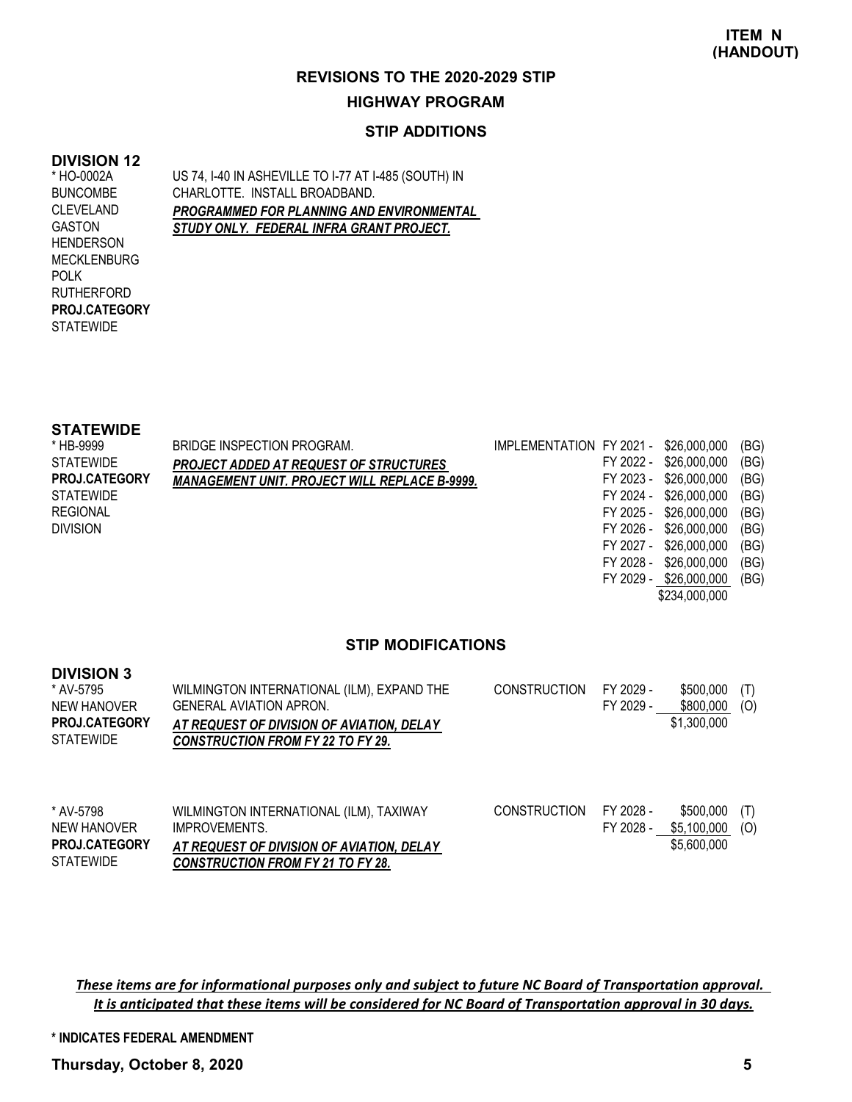#### **STIP ADDITIONS**

### **DIVISION 12**

\* HO-0002A BUNCOMBE CLEVELAND GASTON **HENDERSON** MECKLENBURG POLK RUTHERFORD **STATEWIDE PROJ.CATEGORY** US 74, I-40 IN ASHEVILLE TO I-77 AT I-485 (SOUTH) IN CHARLOTTE. INSTALL BROADBAND. *PROGRAMMED FOR PLANNING AND ENVIRONMENTAL STUDY ONLY. FEDERAL INFRA GRANT PROJECT.*

#### **STATEWIDE**

| * HB-9999            | BRIDGE INSPECTION PROGRAM.                           | IMPLEMENTATION FY 2021 - \$26,000,000 |           |                        | (BG) |
|----------------------|------------------------------------------------------|---------------------------------------|-----------|------------------------|------|
| <b>STATEWIDE</b>     | <b>PROJECT ADDED AT REQUEST OF STRUCTURES</b>        |                                       |           | FY 2022 - \$26,000,000 | (BG) |
| <b>PROJ.CATEGORY</b> | <b>MANAGEMENT UNIT. PROJECT WILL REPLACE B-9999.</b> |                                       |           | FY 2023 - \$26,000,000 | (BG) |
| <b>STATEWIDE</b>     |                                                      |                                       |           | FY 2024 - \$26,000,000 | (BG) |
| <b>REGIONAL</b>      |                                                      |                                       |           | FY 2025 - \$26,000,000 | (BG) |
| <b>DIVISION</b>      |                                                      |                                       |           | FY 2026 - \$26,000,000 | (BG) |
|                      |                                                      |                                       |           | FY 2027 - \$26,000,000 | (BG) |
|                      |                                                      |                                       | FY 2028 - | \$26,000,000           | (BG) |
|                      |                                                      |                                       |           |                        |      |

#### **STIP MODIFICATIONS**

| <b>DIVISION 3</b><br>* AV-5795<br>NEW HANOVER<br>PROJ.CATEGORY<br><b>STATEWIDE</b> | WILMINGTON INTERNATIONAL (ILM), EXPAND THE<br><b>GENERAL AVIATION APRON.</b><br>AT REQUEST OF DIVISION OF AVIATION. DELAY<br><b>CONSTRUCTION FROM FY 22 TO FY 29.</b> | <b>CONSTRUCTION</b> | FY 2029 -<br>FY 2029 - | \$500,000<br>\$800,000<br>\$1,300,000   | (T)<br>(0) |
|------------------------------------------------------------------------------------|-----------------------------------------------------------------------------------------------------------------------------------------------------------------------|---------------------|------------------------|-----------------------------------------|------------|
| * AV-5798<br>NEW HANOVER<br><b>PROJ.CATEGORY</b><br><b>STATEWIDE</b>               | WILMINGTON INTERNATIONAL (ILM), TAXIWAY<br>IMPROVEMENTS.<br>AT REQUEST OF DIVISION OF AVIATION. DELAY<br>CONSTRUCTION FROM EV 21 TO EV 28                             | <b>CONSTRUCTION</b> | FY 2028 -<br>FY 2028 - | \$500,000<br>\$5,100,000<br>\$5,600,000 | (T)<br>(0) |

*CONSTRUCTION FROM FY 21 TO FY 28.*

These items are for informational purposes only and subject to future NC Board of Transportation approval. It is anticipated that these items will be considered for NC Board of Transportation approval in 30 days.

**\* INDICATES FEDERAL AMENDMENT**

**Thursday, October 8, 2020 5**

FY 2029 - \$26,000,000 (BG) \$234,000,000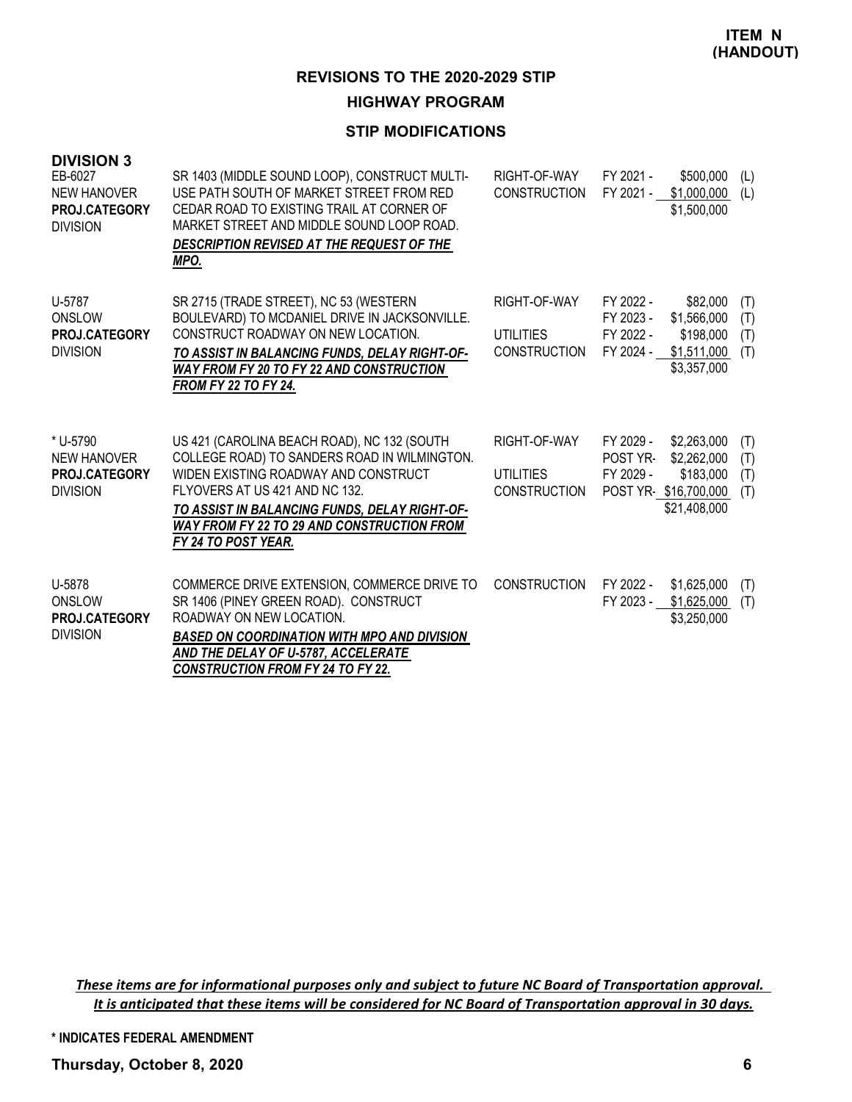### **STIP MODIFICATIONS**

| <b>DIVISION 3</b><br>EB-6027<br><b>NEW HANOVER</b><br>PROJ.CATEGORY<br><b>DIVISION</b> | SR 1403 (MIDDLE SOUND LOOP), CONSTRUCT MULTI-<br>USE PATH SOUTH OF MARKET STREET FROM RED<br>CEDAR ROAD TO EXISTING TRAIL AT CORNER OF<br>MARKET STREET AND MIDDLE SOUND LOOP ROAD.<br>DESCRIPTION REVISED AT THE REQUEST OF THE<br>MPO.                                                           | RIGHT-OF-WAY<br><b>CONSTRUCTION</b>                     | FY 2021 -<br>FY 2021 -                           | \$500,000<br>\$1,000,000<br>\$1,500,000                                         | (1)<br>(L)               |
|----------------------------------------------------------------------------------------|----------------------------------------------------------------------------------------------------------------------------------------------------------------------------------------------------------------------------------------------------------------------------------------------------|---------------------------------------------------------|--------------------------------------------------|---------------------------------------------------------------------------------|--------------------------|
| U-5787<br>ONSLOW<br>PROJ.CATEGORY<br><b>DIVISION</b>                                   | SR 2715 (TRADE STREET), NC 53 (WESTERN<br>BOULEVARD) TO MCDANIEL DRIVE IN JACKSONVILLE.<br>CONSTRUCT ROADWAY ON NEW LOCATION.<br>TO ASSIST IN BALANCING FUNDS, DELAY RIGHT-OF-<br><b>WAY FROM FY 20 TO FY 22 AND CONSTRUCTION</b><br><b>FROM FY 22 TO FY 24.</b>                                   | RIGHT-OF-WAY<br><b>UTILITIES</b><br><b>CONSTRUCTION</b> | FY 2022 -<br>FY 2023 -<br>FY 2022 -<br>FY 2024 - | \$82,000<br>\$1,566,000<br>\$198,000<br>\$1,511,000<br>\$3,357,000              | (T)<br>(T)<br>(T)<br>(T) |
| * U-5790<br><b>NEW HANOVER</b><br><b>PROJ.CATEGORY</b><br><b>DIVISION</b>              | US 421 (CAROLINA BEACH ROAD), NC 132 (SOUTH<br>COLLEGE ROAD) TO SANDERS ROAD IN WILMINGTON.<br>WIDEN EXISTING ROADWAY AND CONSTRUCT<br>FLYOVERS AT US 421 AND NC 132.<br>TO ASSIST IN BALANCING FUNDS, DELAY RIGHT-OF-<br><b>WAY FROM FY 22 TO 29 AND CONSTRUCTION FROM</b><br>FY 24 TO POST YEAR. | RIGHT-OF-WAY<br><b>UTILITIES</b><br><b>CONSTRUCTION</b> | FY 2029 -<br>POST YR-<br>FY 2029 -               | \$2,263,000<br>\$2,262,000<br>\$183,000<br>POST YR-\$16,700,000<br>\$21,408,000 | (T)<br>(T)<br>(T)<br>(T) |
| U-5878<br>ONSLOW<br>PROJ.CATEGORY<br><b>DIVISION</b>                                   | COMMERCE DRIVE EXTENSION, COMMERCE DRIVE TO<br>SR 1406 (PINEY GREEN ROAD). CONSTRUCT<br>ROADWAY ON NEW LOCATION.<br><b>BASED ON COORDINATION WITH MPO AND DIVISION</b><br>AND THE DELAY OF U-5787, ACCELERATE<br><b>CONSTRUCTION FROM FY 24 TO FY 22.</b>                                          | <b>CONSTRUCTION</b>                                     | FY 2022 -<br>FY 2023 -                           | \$1,625,000<br>\$1,625,000<br>\$3,250,000                                       | (T)<br>(T)               |

These items are for informational purposes only and subject to future NC Board of Transportation approval. It is anticipated that these items will be considered for NC Board of Transportation approval in 30 days.

**\* INDICATES FEDERAL AMENDMENT**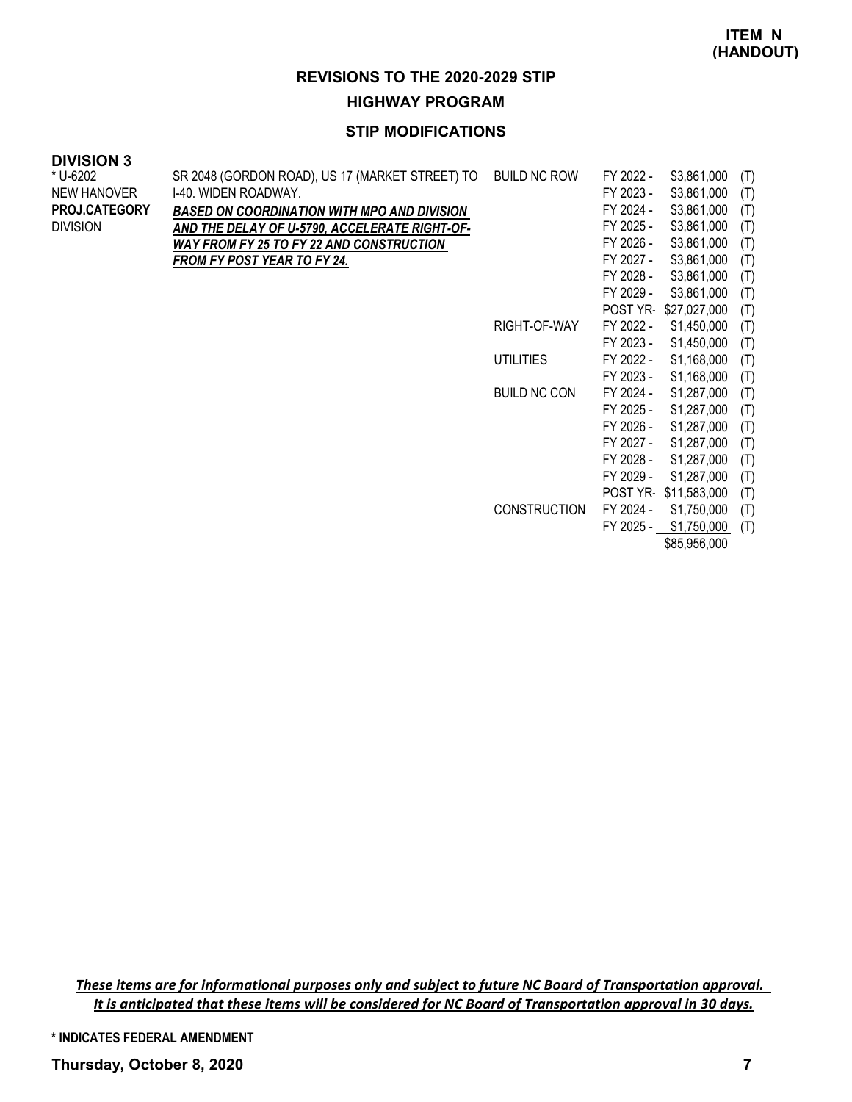### **STIP MODIFICATIONS**

#### **DIVISION 3**

| * U-6202        | SR 2048 (GORDON ROAD), US 17 (MARKET STREET) TO    | <b>BUILD NC ROW</b> | FY 2022 -       | \$3,861,000          | (T) |
|-----------------|----------------------------------------------------|---------------------|-----------------|----------------------|-----|
| NEW HANOVER     | I-40. WIDEN ROADWAY.                               |                     | FY 2023 -       | \$3,861,000          | (T) |
| PROJ.CATEGORY   | <b>BASED ON COORDINATION WITH MPO AND DIVISION</b> |                     | FY 2024 -       | \$3,861,000          | (T) |
| <b>DIVISION</b> | AND THE DELAY OF U-5790, ACCELERATE RIGHT-OF-      |                     | FY 2025 -       | \$3,861,000          | (T) |
|                 | WAY FROM FY 25 TO FY 22 AND CONSTRUCTION           |                     | FY 2026 -       | \$3,861,000          | (T) |
|                 | FROM FY POST YEAR TO FY 24.                        |                     | FY 2027 -       | \$3,861,000          | (T) |
|                 |                                                    |                     | FY 2028 -       | \$3,861,000          | (T) |
|                 |                                                    |                     | FY 2029 -       | \$3,861,000          | (T) |
|                 |                                                    |                     | <b>POST YR-</b> | \$27,027,000         | (T) |
|                 |                                                    | RIGHT-OF-WAY        | FY 2022 -       | \$1,450,000          | (T) |
|                 |                                                    |                     | FY 2023 -       | \$1,450,000          | (T) |
|                 |                                                    | <b>UTILITIES</b>    | FY 2022 -       | \$1,168,000          | (T) |
|                 |                                                    |                     | FY 2023 -       | \$1,168,000          | (T) |
|                 |                                                    | <b>BUILD NC CON</b> | FY 2024 -       | \$1,287,000          | (T) |
|                 |                                                    |                     | FY 2025 -       | \$1,287,000          | (T) |
|                 |                                                    |                     | FY 2026 -       | \$1,287,000          | (T) |
|                 |                                                    |                     | FY 2027 -       | \$1,287,000          | (T) |
|                 |                                                    |                     | FY 2028 -       | \$1,287,000          | (T) |
|                 |                                                    |                     | FY 2029 -       | \$1,287,000          | (T) |
|                 |                                                    |                     |                 | POST YR-\$11,583,000 | (T) |
|                 |                                                    | <b>CONSTRUCTION</b> | FY 2024 -       | \$1,750,000          | (T) |
|                 |                                                    |                     | FY 2025 -       | \$1,750,000          | (T) |
|                 |                                                    |                     |                 | \$85,956,000         |     |

These items are for informational purposes only and subject to future NC Board of Transportation approval. It is anticipated that these items will be considered for NC Board of Transportation approval in 30 days.

**\* INDICATES FEDERAL AMENDMENT**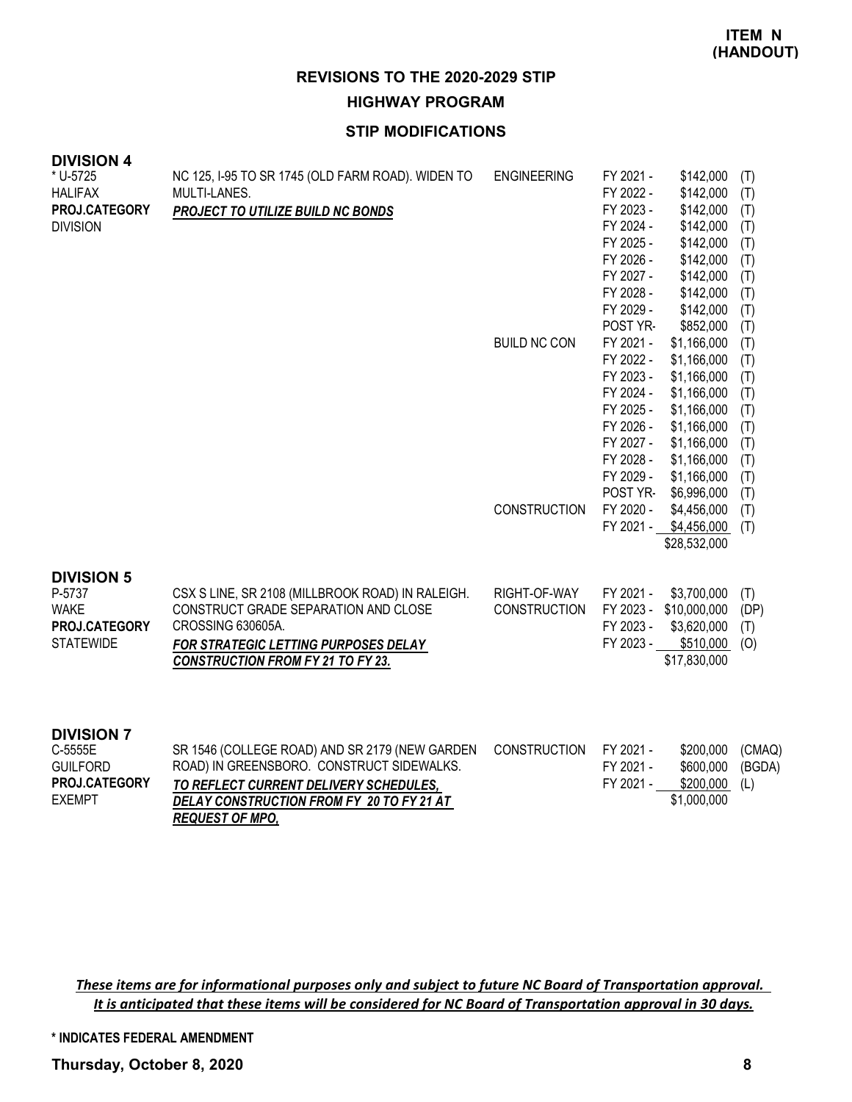## **STIP MODIFICATIONS**

| <b>DIVISION 4</b><br>* U-5725<br><b>HALIFAX</b><br>PROJ.CATEGORY<br><b>DIVISION</b> | NC 125, I-95 TO SR 1745 (OLD FARM ROAD). WIDEN TO<br>MULTI-LANES.<br>PROJECT TO UTILIZE BUILD NC BONDS                                                                                                       | <b>ENGINEERING</b><br><b>BUILD NC CON</b> | FY 2021 -<br>FY 2022 -<br>FY 2023 -<br>FY 2024 -<br>FY 2025 -<br>FY 2026 -<br>FY 2027 -<br>FY 2028 -<br>FY 2029 -<br>POST YR-<br>FY 2021 -<br>FY 2022 -<br>FY 2023 -<br>FY 2024 -<br>FY 2025 -<br>FY 2026 -<br>FY 2027 -<br>FY 2028 -<br>FY 2029 - | \$142,000<br>\$142,000<br>\$142,000<br>\$142,000<br>\$142,000<br>\$142,000<br>\$142,000<br>\$142,000<br>\$142,000<br>\$852,000<br>\$1,166,000<br>\$1,166,000<br>\$1,166,000<br>\$1,166,000<br>\$1,166,000<br>\$1,166,000<br>\$1,166,000<br>\$1,166,000<br>\$1,166,000 | (T)<br>(T)<br>(T)<br>(T)<br>(T)<br>(T)<br>(T)<br>(T)<br>(T)<br>(T)<br>(T)<br>(T)<br>(T)<br>(T)<br>(T)<br>(T)<br>(T)<br>(T)<br>(T) |
|-------------------------------------------------------------------------------------|--------------------------------------------------------------------------------------------------------------------------------------------------------------------------------------------------------------|-------------------------------------------|----------------------------------------------------------------------------------------------------------------------------------------------------------------------------------------------------------------------------------------------------|-----------------------------------------------------------------------------------------------------------------------------------------------------------------------------------------------------------------------------------------------------------------------|-----------------------------------------------------------------------------------------------------------------------------------|
|                                                                                     |                                                                                                                                                                                                              | <b>CONSTRUCTION</b>                       | POST YR-<br>FY 2020 -<br>FY 2021 -                                                                                                                                                                                                                 | \$6,996,000<br>\$4,456,000<br>\$4,456,000<br>\$28,532,000                                                                                                                                                                                                             | (T)<br>(T)<br>(T)                                                                                                                 |
| <b>DIVISION 5</b><br>P-5737<br><b>WAKE</b><br>PROJ.CATEGORY<br><b>STATEWIDE</b>     | CSX S LINE, SR 2108 (MILLBROOK ROAD) IN RALEIGH.<br>CONSTRUCT GRADE SEPARATION AND CLOSE<br>CROSSING 630605A.<br>FOR STRATEGIC LETTING PURPOSES DELAY<br><b>CONSTRUCTION FROM FY 21 TO FY 23.</b>            | RIGHT-OF-WAY<br>CONSTRUCTION              | FY 2021 -<br>FY 2023 -<br>FY 2023 -<br>FY 2023 -                                                                                                                                                                                                   | \$3,700,000<br>\$10,000,000<br>\$3,620,000<br>\$510,000<br>\$17,830,000                                                                                                                                                                                               | (T)<br>(DP)<br>(T)<br>(O)                                                                                                         |
| <b>DIVISION 7</b><br>C-5555E<br><b>GUILFORD</b><br>PROJ.CATEGORY<br><b>EXEMPT</b>   | SR 1546 (COLLEGE ROAD) AND SR 2179 (NEW GARDEN<br>ROAD) IN GREENSBORO. CONSTRUCT SIDEWALKS.<br>TO REFLECT CURRENT DELIVERY SCHEDULES,<br>DELAY CONSTRUCTION FROM FY 20 TO FY 21 AT<br><b>REQUEST OF MPO,</b> | <b>CONSTRUCTION</b>                       | FY 2021 -<br>FY 2021 -<br>FY 2021 -                                                                                                                                                                                                                | \$200,000<br>\$600,000<br>\$200,000<br>\$1,000,000                                                                                                                                                                                                                    | (CMAQ)<br>(BGDA)<br>(L)                                                                                                           |

These items are for informational purposes only and subject to future NC Board of Transportation approval. It is anticipated that these items will be considered for NC Board of Transportation approval in 30 days.

**\* INDICATES FEDERAL AMENDMENT**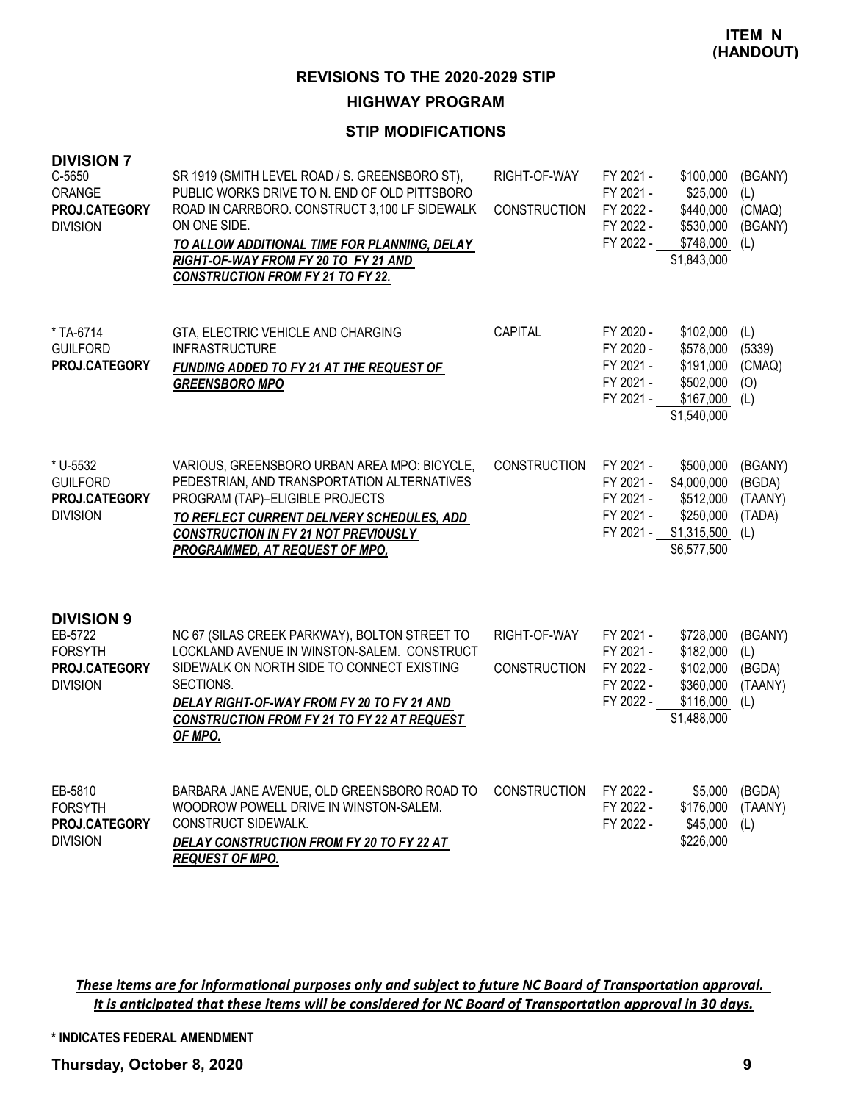### **STIP MODIFICATIONS**

| <b>DIVISION 7</b><br>C-5650<br>ORANGE<br>PROJ.CATEGORY<br><b>DIVISION</b>          | SR 1919 (SMITH LEVEL ROAD / S. GREENSBORO ST),<br>PUBLIC WORKS DRIVE TO N. END OF OLD PITTSBORO<br>ROAD IN CARRBORO. CONSTRUCT 3,100 LF SIDEWALK<br>ON ONE SIDE.<br>TO ALLOW ADDITIONAL TIME FOR PLANNING, DELAY<br>RIGHT-OF-WAY FROM FY 20 TO FY 21 AND<br><b>CONSTRUCTION FROM FY 21 TO FY 22.</b> | RIGHT-OF-WAY<br><b>CONSTRUCTION</b> | FY 2021 -<br>FY 2021 -<br>FY 2022 -<br>FY 2022 -<br>FY 2022 - | \$100,000<br>\$25,000<br>\$440,000<br>\$530,000<br>\$748,000<br>\$1,843,000                | (BGANY)<br>(L)<br>(CMAQ)<br>(BGANY)<br>(L)    |
|------------------------------------------------------------------------------------|------------------------------------------------------------------------------------------------------------------------------------------------------------------------------------------------------------------------------------------------------------------------------------------------------|-------------------------------------|---------------------------------------------------------------|--------------------------------------------------------------------------------------------|-----------------------------------------------|
| * TA-6714<br><b>GUILFORD</b><br>PROJ.CATEGORY                                      | GTA, ELECTRIC VEHICLE AND CHARGING<br><b>INFRASTRUCTURE</b><br>FUNDING ADDED TO FY 21 AT THE REQUEST OF<br><b>GREENSBORO MPO</b>                                                                                                                                                                     | CAPITAL                             | FY 2020 -<br>FY 2020 -<br>FY 2021 -<br>FY 2021 -<br>FY 2021 - | \$102,000<br>\$578,000<br>\$191,000<br>\$502,000<br>\$167,000<br>\$1,540,000               | (L)<br>(5339)<br>(CMAQ)<br>(O)<br>(L)         |
| * U-5532<br><b>GUILFORD</b><br>PROJ.CATEGORY<br><b>DIVISION</b>                    | VARIOUS, GREENSBORO URBAN AREA MPO: BICYCLE,<br>PEDESTRIAN, AND TRANSPORTATION ALTERNATIVES<br>PROGRAM (TAP)-ELIGIBLE PROJECTS<br>TO REFLECT CURRENT DELIVERY SCHEDULES, ADD<br><b>CONSTRUCTION IN FY 21 NOT PREVIOUSLY</b><br>PROGRAMMED, AT REQUEST OF MPO,                                        | <b>CONSTRUCTION</b>                 | FY 2021 -<br>FY 2021 -<br>FY 2021 -<br>FY 2021 -              | \$500,000<br>\$4,000,000<br>\$512,000<br>\$250,000<br>FY 2021 - \$1,315,500<br>\$6,577,500 | (BGANY)<br>(BGDA)<br>(TAANY)<br>(TADA)<br>(L) |
| <b>DIVISION 9</b><br>EB-5722<br><b>FORSYTH</b><br>PROJ.CATEGORY<br><b>DIVISION</b> | NC 67 (SILAS CREEK PARKWAY), BOLTON STREET TO<br>LOCKLAND AVENUE IN WINSTON-SALEM. CONSTRUCT<br>SIDEWALK ON NORTH SIDE TO CONNECT EXISTING<br>SECTIONS.<br>DELAY RIGHT-OF-WAY FROM FY 20 TO FY 21 AND<br>CONSTRUCTION FROM FY 21 TO FY 22 AT REQUEST<br>OF MPO.                                      | RIGHT-OF-WAY<br><b>CONSTRUCTION</b> | FY 2021 -<br>FY 2021 -<br>FY 2022 -<br>FY 2022 -<br>FY 2022 - | \$728,000<br>\$182,000<br>\$102,000<br>\$360,000<br>\$116,000<br>\$1,488,000               | (BGANY)<br>(L)<br>(BGDA)<br>(TAANY)<br>(L)    |
| EB-5810<br><b>FORSYTH</b><br>PROJ.CATEGORY<br><b>DIVISION</b>                      | BARBARA JANE AVENUE, OLD GREENSBORO ROAD TO<br>WOODROW POWELL DRIVE IN WINSTON-SALEM.<br>CONSTRUCT SIDEWALK.<br>DELAY CONSTRUCTION FROM FY 20 TO FY 22 AT<br><b>REQUEST OF MPO.</b>                                                                                                                  | <b>CONSTRUCTION</b>                 | FY 2022 -<br>FY 2022 -<br>FY 2022 -                           | \$5,000<br>\$176,000<br>\$45,000<br>\$226,000                                              | (BGDA)<br>(TAANY)<br>(L)                      |

These items are for informational purposes only and subject to future NC Board of Transportation approval. It is anticipated that these items will be considered for NC Board of Transportation approval in 30 days.

**\* INDICATES FEDERAL AMENDMENT**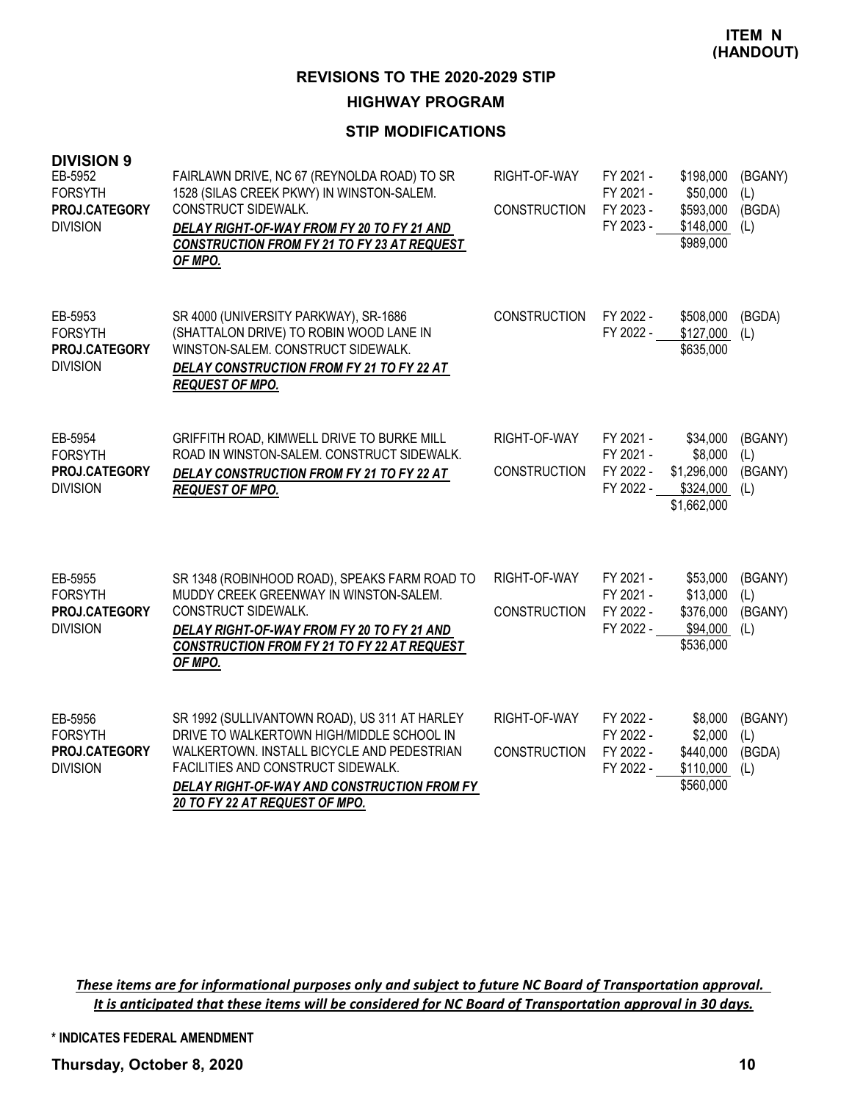### **STIP MODIFICATIONS**

| <b>DIVISION 9</b><br>EB-5952<br><b>FORSYTH</b><br>PROJ.CATEGORY<br><b>DIVISION</b> | FAIRLAWN DRIVE, NC 67 (REYNOLDA ROAD) TO SR<br>1528 (SILAS CREEK PKWY) IN WINSTON-SALEM.<br><b>CONSTRUCT SIDEWALK.</b><br>DELAY RIGHT-OF-WAY FROM FY 20 TO FY 21 AND<br>CONSTRUCTION FROM FY 21 TO FY 23 AT REQUEST<br>OF MPO.                                  | RIGHT-OF-WAY<br><b>CONSTRUCTION</b> | FY 2021 -<br>FY 2021 -<br>FY 2023 -<br>FY 2023 - | \$198,000<br>\$50,000<br>\$593,000<br>\$148,000<br>\$989,000   | (BGANY)<br>(L)<br>(BGDA)<br>(L)  |
|------------------------------------------------------------------------------------|-----------------------------------------------------------------------------------------------------------------------------------------------------------------------------------------------------------------------------------------------------------------|-------------------------------------|--------------------------------------------------|----------------------------------------------------------------|----------------------------------|
| EB-5953<br><b>FORSYTH</b><br>PROJ.CATEGORY<br><b>DIVISION</b>                      | SR 4000 (UNIVERSITY PARKWAY), SR-1686<br>(SHATTALON DRIVE) TO ROBIN WOOD LANE IN<br>WINSTON-SALEM, CONSTRUCT SIDEWALK,<br>DELAY CONSTRUCTION FROM FY 21 TO FY 22 AT<br><b>REQUEST OF MPO.</b>                                                                   | <b>CONSTRUCTION</b>                 | FY 2022 -<br>FY 2022 -                           | \$508,000<br>\$127,000<br>\$635,000                            | (BGDA)<br>(L)                    |
| EB-5954<br><b>FORSYTH</b><br>PROJ.CATEGORY<br><b>DIVISION</b>                      | GRIFFITH ROAD, KIMWELL DRIVE TO BURKE MILL<br>ROAD IN WINSTON-SALEM. CONSTRUCT SIDEWALK.<br>DELAY CONSTRUCTION FROM FY 21 TO FY 22 AT<br><b>REQUEST OF MPO.</b>                                                                                                 | RIGHT-OF-WAY<br><b>CONSTRUCTION</b> | FY 2021 -<br>FY 2021 -<br>FY 2022 -<br>FY 2022 - | \$34,000<br>\$8,000<br>\$1,296,000<br>\$324,000<br>\$1,662,000 | (BGANY)<br>(L)<br>(BGANY)<br>(L) |
| EB-5955<br><b>FORSYTH</b><br>PROJ.CATEGORY<br><b>DIVISION</b>                      | SR 1348 (ROBINHOOD ROAD), SPEAKS FARM ROAD TO<br>MUDDY CREEK GREENWAY IN WINSTON-SALEM.<br>CONSTRUCT SIDEWALK.<br>DELAY RIGHT-OF-WAY FROM FY 20 TO FY 21 AND<br>CONSTRUCTION FROM FY 21 TO FY 22 AT REQUEST<br>OF MPO.                                          | RIGHT-OF-WAY<br><b>CONSTRUCTION</b> | FY 2021 -<br>FY 2021 -<br>FY 2022 -<br>FY 2022 - | \$53,000<br>\$13,000<br>\$376,000<br>\$94,000<br>\$536,000     | (BGANY)<br>(L)<br>(BGANY)<br>(L) |
| EB-5956<br><b>FORSYTH</b><br>PROJ.CATEGORY<br><b>DIVISION</b>                      | SR 1992 (SULLIVANTOWN ROAD), US 311 AT HARLEY<br>DRIVE TO WALKERTOWN HIGH/MIDDLE SCHOOL IN<br>WALKERTOWN. INSTALL BICYCLE AND PEDESTRIAN<br>FACILITIES AND CONSTRUCT SIDEWALK.<br>DELAY RIGHT-OF-WAY AND CONSTRUCTION FROM FY<br>20 TO FY 22 AT REQUEST OF MPO. | RIGHT-OF-WAY<br><b>CONSTRUCTION</b> | FY 2022 -<br>FY 2022 -<br>FY 2022 -<br>FY 2022 - | \$8,000<br>\$2,000<br>\$440,000<br>\$110,000<br>\$560,000      | (BGANY)<br>(L)<br>(BGDA)<br>(L)  |

These items are for informational purposes only and subject to future NC Board of Transportation approval. It is anticipated that these items will be considered for NC Board of Transportation approval in 30 days.

**\* INDICATES FEDERAL AMENDMENT**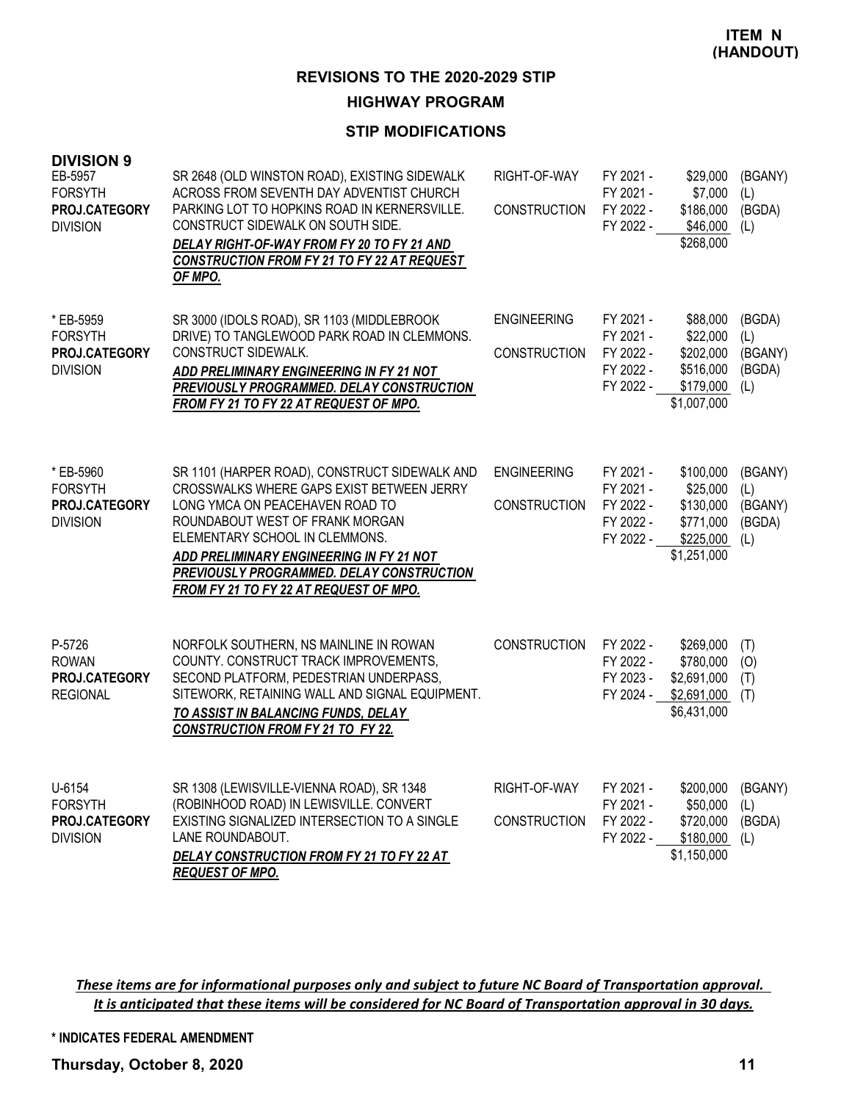### **STIP MODIFICATIONS**

| <b>DIVISION 9</b><br>EB-5957<br><b>FORSYTH</b><br>PROJ.CATEGORY<br><b>DIVISION</b> | SR 2648 (OLD WINSTON ROAD), EXISTING SIDEWALK<br>ACROSS FROM SEVENTH DAY ADVENTIST CHURCH<br>PARKING LOT TO HOPKINS ROAD IN KERNERSVILLE.<br>CONSTRUCT SIDEWALK ON SOUTH SIDE.<br>DELAY RIGHT-OF-WAY FROM FY 20 TO FY 21 AND<br>CONSTRUCTION FROM FY 21 TO FY 22 AT REQUEST<br>OF MPO.                                                | RIGHT-OF-WAY<br><b>CONSTRUCTION</b>       | FY 2021 -<br>FY 2021 -<br>FY 2022 -<br>FY 2022 -              | \$29,000<br>\$7,000<br>\$186,000<br>\$46,000<br>\$268,000                   | (BGANY)<br>(L)<br>(BGDA)<br>(L)            |
|------------------------------------------------------------------------------------|---------------------------------------------------------------------------------------------------------------------------------------------------------------------------------------------------------------------------------------------------------------------------------------------------------------------------------------|-------------------------------------------|---------------------------------------------------------------|-----------------------------------------------------------------------------|--------------------------------------------|
| * EB-5959<br><b>FORSYTH</b><br>PROJ.CATEGORY<br><b>DIVISION</b>                    | SR 3000 (IDOLS ROAD), SR 1103 (MIDDLEBROOK<br>DRIVE) TO TANGLEWOOD PARK ROAD IN CLEMMONS.<br>CONSTRUCT SIDEWALK.<br>ADD PRELIMINARY ENGINEERING IN FY 21 NOT<br><b>PREVIOUSLY PROGRAMMED. DELAY CONSTRUCTION</b><br>FROM FY 21 TO FY 22 AT REQUEST OF MPO.                                                                            | <b>ENGINEERING</b><br><b>CONSTRUCTION</b> | FY 2021 -<br>FY 2021 -<br>FY 2022 -<br>FY 2022 -<br>FY 2022 - | \$88,000<br>\$22,000<br>\$202,000<br>\$516,000<br>\$179,000<br>\$1,007,000  | (BGDA)<br>(L)<br>(BGANY)<br>(BGDA)<br>(L)  |
| * EB-5960<br><b>FORSYTH</b><br>PROJ.CATEGORY<br><b>DIVISION</b>                    | SR 1101 (HARPER ROAD), CONSTRUCT SIDEWALK AND<br>CROSSWALKS WHERE GAPS EXIST BETWEEN JERRY<br>LONG YMCA ON PEACEHAVEN ROAD TO<br>ROUNDABOUT WEST OF FRANK MORGAN<br>ELEMENTARY SCHOOL IN CLEMMONS.<br>ADD PRELIMINARY ENGINEERING IN FY 21 NOT<br>PREVIOUSLY PROGRAMMED. DELAY CONSTRUCTION<br>FROM FY 21 TO FY 22 AT REQUEST OF MPO. | <b>ENGINEERING</b><br><b>CONSTRUCTION</b> | FY 2021 -<br>FY 2021 -<br>FY 2022 -<br>FY 2022 -<br>FY 2022 - | \$100,000<br>\$25,000<br>\$130,000<br>\$771,000<br>\$225,000<br>\$1,251,000 | (BGANY)<br>(L)<br>(BGANY)<br>(BGDA)<br>(L) |
| P-5726<br><b>ROWAN</b><br>PROJ.CATEGORY<br><b>REGIONAL</b>                         | NORFOLK SOUTHERN, NS MAINLINE IN ROWAN<br>COUNTY. CONSTRUCT TRACK IMPROVEMENTS,<br>SECOND PLATFORM, PEDESTRIAN UNDERPASS,<br>SITEWORK, RETAINING WALL AND SIGNAL EQUIPMENT.<br>TO ASSIST IN BALANCING FUNDS, DELAY<br><b>CONSTRUCTION FROM FY 21 TO FY 22.</b>                                                                        | <b>CONSTRUCTION</b>                       | FY 2022 -<br>FY 2022 -<br>FY 2023 -<br>FY 2024 -              | \$269,000<br>\$780,000<br>\$2,691,000<br>\$2,691,000<br>\$6,431,000         | (T)<br>(O)<br>(T)<br>(T)                   |
| U-6154<br><b>FORSYTH</b><br>PROJ.CATEGORY<br><b>DIVISION</b>                       | SR 1308 (LEWISVILLE-VIENNA ROAD), SR 1348<br>(ROBINHOOD ROAD) IN LEWISVILLE. CONVERT<br>EXISTING SIGNALIZED INTERSECTION TO A SINGLE<br>LANE ROUNDABOUT.<br>DELAY CONSTRUCTION FROM FY 21 TO FY 22 AT<br><b>REQUEST OF MPO.</b>                                                                                                       | RIGHT-OF-WAY<br><b>CONSTRUCTION</b>       | FY 2021 -<br>FY 2021 -<br>FY 2022 -<br>FY 2022 -              | \$200,000<br>\$50,000<br>\$720,000<br>\$180,000<br>\$1,150,000              | (BGANY)<br>(L)<br>(BGDA)<br>(L)            |

These items are for informational purposes only and subject to future NC Board of Transportation approval. It is anticipated that these items will be considered for NC Board of Transportation approval in 30 days.

**\* INDICATES FEDERAL AMENDMENT**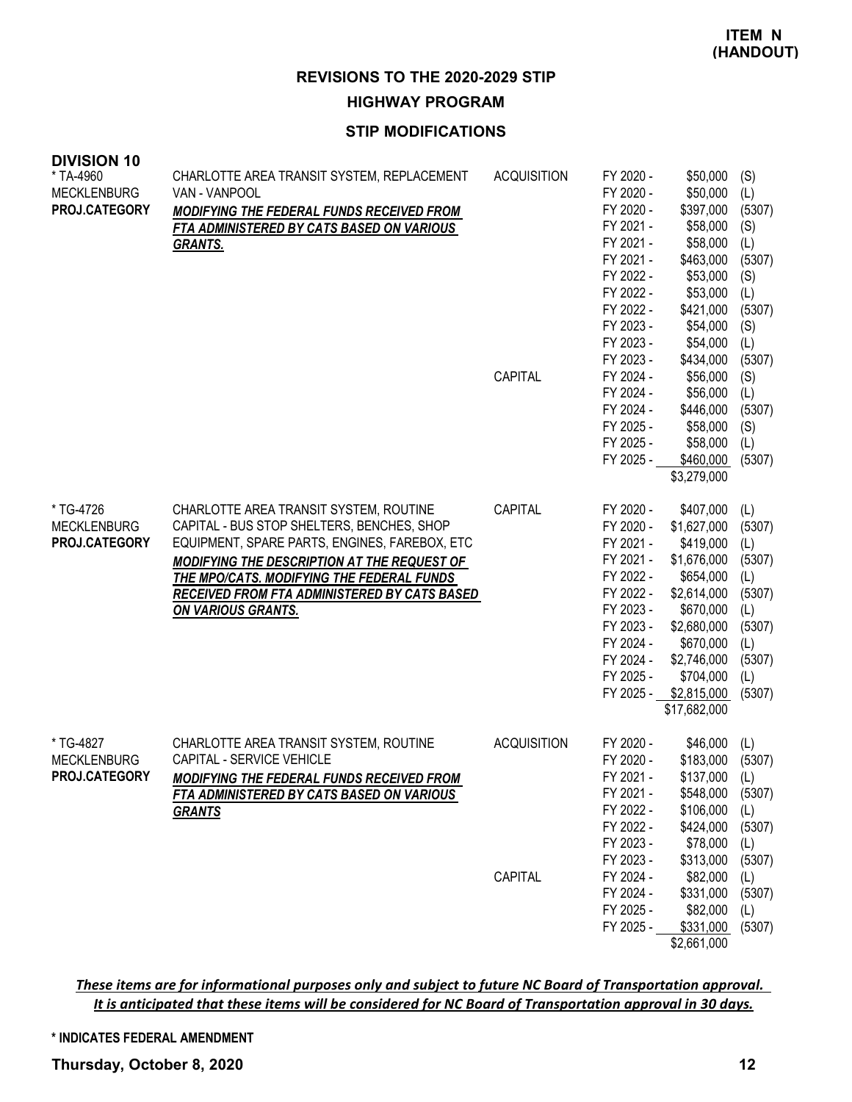### **STIP MODIFICATIONS**

| <b>DIVISION 10</b><br>* TA-4960<br><b>MECKLENBURG</b><br>PROJ.CATEGORY | CHARLOTTE AREA TRANSIT SYSTEM, REPLACEMENT<br>VAN - VANPOOL<br>MODIFYING THE FEDERAL FUNDS RECEIVED FROM<br>FTA ADMINISTERED BY CATS BASED ON VARIOUS<br><b>GRANTS.</b>                                                                                                                                 | <b>ACQUISITION</b><br>CAPITAL | FY 2020 -<br>FY 2020 -<br>FY 2020 -<br>FY 2021 -<br>FY 2021 -<br>FY 2021 -<br>FY 2022 -<br>FY 2022 -<br>FY 2022 -<br>FY 2023 -<br>FY 2023 -<br>FY 2023 -<br>FY 2024 -<br>FY 2024 -<br>FY 2024 -<br>FY 2025 -<br>FY 2025 -<br>FY 2025 - | \$50,000<br>\$50,000<br>\$397,000<br>\$58,000<br>\$58,000<br>\$463,000<br>\$53,000<br>\$53,000<br>\$421,000<br>\$54,000<br>\$54,000<br>\$434,000<br>\$56,000<br>\$56,000<br>\$446,000<br>\$58,000<br>\$58,000<br>\$460,000 | (S)<br>(L)<br>(5307)<br>(S)<br>(L)<br>(5307)<br>(S)<br>(L)<br>(5307)<br>(S)<br>(L)<br>(5307)<br>(S)<br>(L)<br>(5307)<br>(S)<br>(L)<br>(5307) |
|------------------------------------------------------------------------|---------------------------------------------------------------------------------------------------------------------------------------------------------------------------------------------------------------------------------------------------------------------------------------------------------|-------------------------------|----------------------------------------------------------------------------------------------------------------------------------------------------------------------------------------------------------------------------------------|----------------------------------------------------------------------------------------------------------------------------------------------------------------------------------------------------------------------------|----------------------------------------------------------------------------------------------------------------------------------------------|
|                                                                        |                                                                                                                                                                                                                                                                                                         |                               |                                                                                                                                                                                                                                        | \$3,279,000                                                                                                                                                                                                                |                                                                                                                                              |
| * TG-4726<br><b>MECKLENBURG</b><br>PROJ.CATEGORY                       | CHARLOTTE AREA TRANSIT SYSTEM, ROUTINE<br>CAPITAL - BUS STOP SHELTERS, BENCHES, SHOP<br>EQUIPMENT, SPARE PARTS, ENGINES, FAREBOX, ETC<br>MODIFYING THE DESCRIPTION AT THE REQUEST OF<br>THE MPO/CATS. MODIFYING THE FEDERAL FUNDS<br>RECEIVED FROM FTA ADMINISTERED BY CATS BASED<br>ON VARIOUS GRANTS. | CAPITAL                       | FY 2020 -<br>FY 2020 -<br>FY 2021 -<br>FY 2021 -<br>FY 2022 -<br>FY 2022 -<br>FY 2023 -<br>FY 2023 -<br>FY 2024 -<br>FY 2024 -<br>FY 2025 -<br>FY 2025 -                                                                               | \$407,000<br>\$1,627,000<br>\$419,000<br>\$1,676,000<br>\$654,000<br>\$2,614,000<br>\$670,000<br>\$2,680,000<br>\$670,000<br>\$2,746,000<br>\$704,000<br>\$2,815,000<br>\$17,682,000                                       | (L)<br>(5307)<br>(L)<br>(5307)<br>(L)<br>(5307)<br>(L)<br>(5307)<br>(L)<br>(5307)<br>(L)<br>(5307)                                           |
| * TG-4827<br><b>MECKLENBURG</b><br><b>PROJ.CATEGORY</b>                | CHARLOTTE AREA TRANSIT SYSTEM, ROUTINE<br>CAPITAL - SERVICE VEHICLE<br><b>MODIFYING THE FEDERAL FUNDS RECEIVED FROM</b><br>FTA ADMINISTERED BY CATS BASED ON VARIOUS<br><b>GRANTS</b>                                                                                                                   | <b>ACQUISITION</b><br>CAPITAL | FY 2020 -<br>FY 2020 -<br>FY 2021 -<br>FY 2021 -<br>FY 2022 -<br>FY 2022 -<br>FY 2023 -<br>FY 2023 -<br>FY 2024 -<br>FY 2024 -                                                                                                         | \$46,000<br>\$183,000<br>$$137,000$ (L)<br>\$548,000<br>\$106,000<br>\$424,000<br>\$78,000<br>\$313,000<br>\$82,000<br>\$331,000                                                                                           | (L)<br>(5307)<br>(5307)<br>(L)<br>(5307)<br>(L)<br>(5307)<br>(L)<br>(5307)                                                                   |
|                                                                        |                                                                                                                                                                                                                                                                                                         |                               | FY 2025 -<br>FY 2025 -                                                                                                                                                                                                                 | \$82,000<br>\$331,000<br>\$2,661,000                                                                                                                                                                                       | (L)<br>(5307)                                                                                                                                |

These items are for informational purposes only and subject to future NC Board of Transportation approval. It is anticipated that these items will be considered for NC Board of Transportation approval in 30 days.

#### **\* INDICATES FEDERAL AMENDMENT**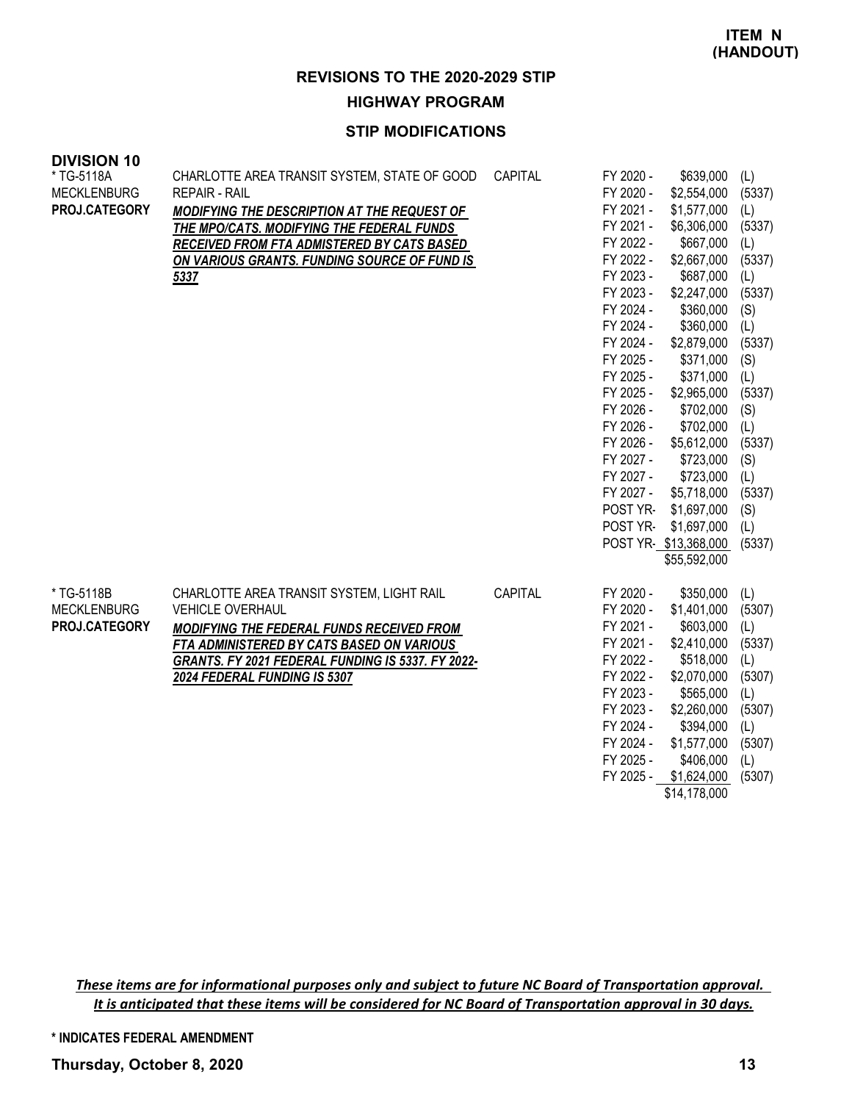### **STIP MODIFICATIONS**

#### **DIVISION 10**

| * TG-5118A<br><b>MECKLENBURG</b><br>PROJ.CATEGORY | CHARLOTTE AREA TRANSIT SYSTEM, STATE OF GOOD<br><b>REPAIR - RAIL</b><br>MODIFYING THE DESCRIPTION AT THE REQUEST OF<br>THE MPO/CATS. MODIFYING THE FEDERAL FUNDS<br>RECEIVED FROM FTA ADMISTERED BY CATS BASED<br>ON VARIOUS GRANTS. FUNDING SOURCE OF FUND IS<br>5337 | CAPITAL | FY 2020 -<br>FY 2020 -<br>FY 2021 -<br>FY 2021 -<br>FY 2022 -<br>FY 2022 -<br>FY 2023 -<br>FY 2023 -<br>FY 2024 -<br>FY 2024 -<br>FY 2024 -<br>FY 2025 -<br>FY 2025 -<br>FY 2025 -<br>FY 2026 -<br>FY 2026 -<br>FY 2026 -<br>FY 2027 -<br>FY 2027 -<br>FY 2027 -<br><b>POST YR-</b><br>POST YR- | \$639,000<br>\$2,554,000<br>\$1,577,000<br>\$6,306,000<br>\$667,000<br>\$2,667,000<br>\$687,000<br>\$2,247,000<br>\$360,000<br>\$360,000<br>\$2,879,000<br>\$371,000<br>\$371,000<br>\$2,965,000<br>\$702,000<br>\$702,000<br>\$5,612,000<br>\$723,000<br>\$723,000<br>\$5,718,000<br>\$1,697,000<br>\$1,697,000 | (L)<br>(5337)<br>(L)<br>(5337)<br>(L)<br>(5337)<br>(L)<br>(5337)<br>(S)<br>(L)<br>(5337)<br>(S)<br>(L)<br>(5337)<br>(S)<br>(L)<br>(5337)<br>(S)<br>(L)<br>(5337)<br>(S)<br>(L) |
|---------------------------------------------------|------------------------------------------------------------------------------------------------------------------------------------------------------------------------------------------------------------------------------------------------------------------------|---------|-------------------------------------------------------------------------------------------------------------------------------------------------------------------------------------------------------------------------------------------------------------------------------------------------|------------------------------------------------------------------------------------------------------------------------------------------------------------------------------------------------------------------------------------------------------------------------------------------------------------------|--------------------------------------------------------------------------------------------------------------------------------------------------------------------------------|
|                                                   |                                                                                                                                                                                                                                                                        |         |                                                                                                                                                                                                                                                                                                 | POST YR-\$13,368,000<br>\$55,592,000                                                                                                                                                                                                                                                                             | (5337)                                                                                                                                                                         |
| * TG-5118B<br><b>MECKLENBURG</b><br>PROJ.CATEGORY | CHARLOTTE AREA TRANSIT SYSTEM, LIGHT RAIL<br><b>VEHICLE OVERHAUL</b><br>MODIFYING THE FEDERAL FUNDS RECEIVED FROM<br>FTA ADMINISTERED BY CATS BASED ON VARIOUS<br>GRANTS. FY 2021 FEDERAL FUNDING IS 5337. FY 2022-<br>2024 FEDERAL FUNDING IS 5307                    | CAPITAL | FY 2020 -<br>FY 2020 -<br>FY 2021 -<br>FY 2021 -<br>FY 2022 -<br>FY 2022 -<br>FY 2023 -<br>FY 2023 -<br>FY 2024 -<br>FY 2024 -<br>FY 2025 -<br>FY 2025 -                                                                                                                                        | \$350,000<br>\$1,401,000<br>\$603,000<br>\$2,410,000<br>\$518,000<br>\$2,070,000<br>\$565,000<br>\$2,260,000<br>\$394,000<br>\$1,577,000<br>\$406,000<br>\$1,624,000                                                                                                                                             | (L)<br>(5307)<br>(L)<br>(5337)<br>(L)<br>(5307)<br>(L)<br>(5307)<br>(L)<br>(5307)<br>(L)<br>(5307)                                                                             |

 $\overline{$14,178,000}$ 

These items are for informational purposes only and subject to future NC Board of Transportation approval. It is anticipated that these items will be considered for NC Board of Transportation approval in 30 days.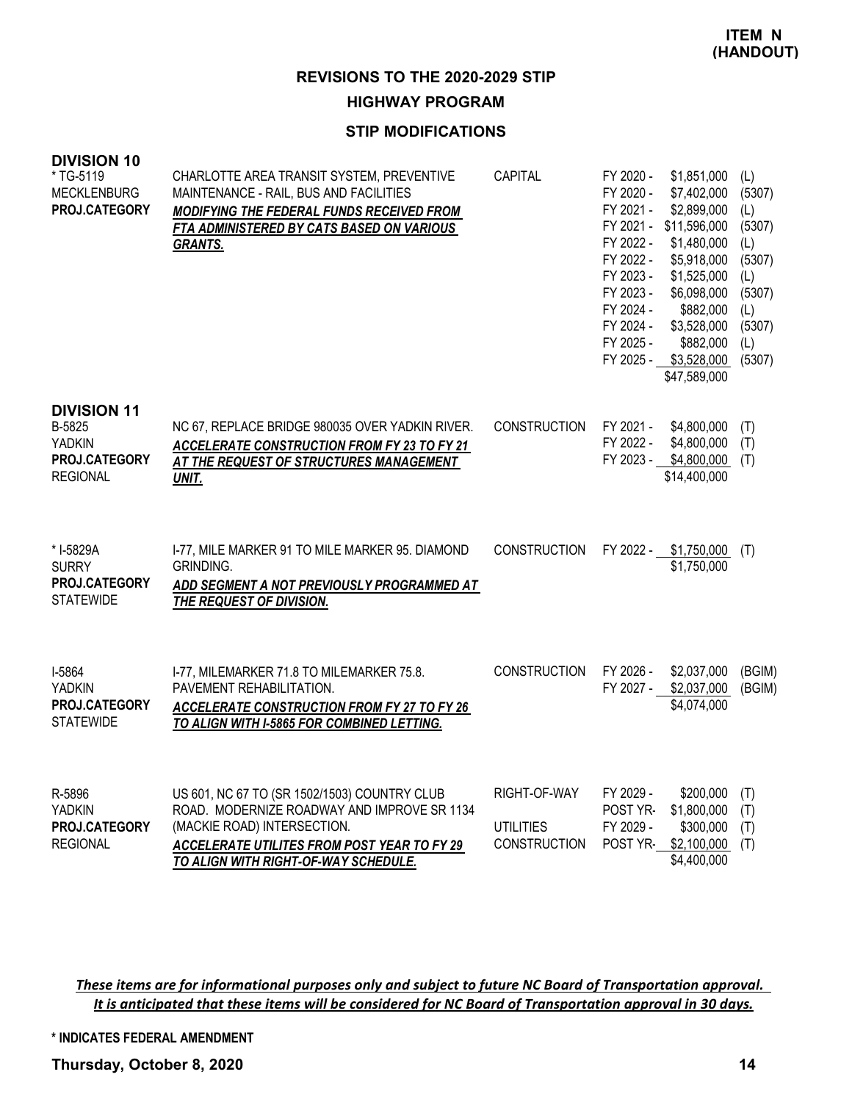### **STIP MODIFICATIONS**

| <b>DIVISION 10</b><br>* TG-5119<br><b>MECKLENBURG</b><br>PROJ.CATEGORY            | CHARLOTTE AREA TRANSIT SYSTEM, PREVENTIVE<br>MAINTENANCE - RAIL, BUS AND FACILITIES<br>MODIFYING THE FEDERAL FUNDS RECEIVED FROM<br>FTA ADMINISTERED BY CATS BASED ON VARIOUS<br><b>GRANTS.</b>                   | <b>CAPITAL</b>                                          | FY 2020 -<br>FY 2020 -<br>FY 2021 -<br>FY 2021 -<br>FY 2022 -<br>FY 2022 -<br>FY 2023 -<br>FY 2023 -<br>FY 2024 -<br>FY 2024 -<br>FY 2025 -<br>FY 2025 - | \$1,851,000<br>\$7,402,000<br>\$2,899,000<br>\$11,596,000<br>\$1,480,000<br>\$5,918,000<br>\$1,525,000<br>\$6,098,000<br>\$882,000<br>\$3,528,000<br>\$882,000<br>\$3,528,000<br>\$47,589,000 | (L)<br>(5307)<br>(L)<br>(5307)<br>(L)<br>(5307)<br>(L)<br>(5307)<br>(L)<br>(5307)<br>(L)<br>(5307) |
|-----------------------------------------------------------------------------------|-------------------------------------------------------------------------------------------------------------------------------------------------------------------------------------------------------------------|---------------------------------------------------------|----------------------------------------------------------------------------------------------------------------------------------------------------------|-----------------------------------------------------------------------------------------------------------------------------------------------------------------------------------------------|----------------------------------------------------------------------------------------------------|
| <b>DIVISION 11</b><br>B-5825<br><b>YADKIN</b><br>PROJ.CATEGORY<br><b>REGIONAL</b> | NC 67, REPLACE BRIDGE 980035 OVER YADKIN RIVER.<br><b>ACCELERATE CONSTRUCTION FROM FY 23 TO FY 21</b><br>AT THE REQUEST OF STRUCTURES MANAGEMENT<br>UNIT.                                                         | <b>CONSTRUCTION</b>                                     | FY 2021 -<br>FY 2022 -<br>FY 2023 -                                                                                                                      | \$4,800,000<br>\$4,800,000<br>\$4,800,000<br>\$14,400,000                                                                                                                                     | (T)<br>(T)<br>(T)                                                                                  |
| * I-5829A<br><b>SURRY</b><br>PROJ.CATEGORY<br><b>STATEWIDE</b>                    | I-77, MILE MARKER 91 TO MILE MARKER 95. DIAMOND<br>GRINDING.<br>ADD SEGMENT A NOT PREVIOUSLY PROGRAMMED AT<br>THE REQUEST OF DIVISION.                                                                            | <b>CONSTRUCTION</b>                                     |                                                                                                                                                          | FY 2022 - \$1,750,000<br>\$1,750,000                                                                                                                                                          | (T)                                                                                                |
| I-5864<br>YADKIN<br>PROJ.CATEGORY<br><b>STATEWIDE</b>                             | I-77, MILEMARKER 71.8 TO MILEMARKER 75.8.<br>PAVEMENT REHABILITATION.<br><b>ACCELERATE CONSTRUCTION FROM FY 27 TO FY 26</b><br>TO ALIGN WITH I-5865 FOR COMBINED LETTING.                                         | <b>CONSTRUCTION</b>                                     | FY 2026 -<br>FY 2027 -                                                                                                                                   | \$2,037,000<br>\$2,037,000<br>\$4,074,000                                                                                                                                                     | (BGIM)<br>(BGIM)                                                                                   |
| R-5896<br><b>YADKIN</b><br>PROJ.CATEGORY<br><b>REGIONAL</b>                       | US 601, NC 67 TO (SR 1502/1503) COUNTRY CLUB<br>ROAD. MODERNIZE ROADWAY AND IMPROVE SR 1134<br>(MACKIE ROAD) INTERSECTION.<br>ACCELERATE UTILITES FROM POST YEAR TO FY 29<br>TO ALIGN WITH RIGHT-OF-WAY SCHEDULE. | RIGHT-OF-WAY<br><b>UTILITIES</b><br><b>CONSTRUCTION</b> | FY 2029 -<br>POST YR-<br>FY 2029 -<br>POST YR-                                                                                                           | \$200,000<br>\$1,800,000<br>\$300,000<br>\$2,100,000<br>\$4,400,000                                                                                                                           | (T)<br>(T)<br>(T)<br>(T)                                                                           |

These items are for informational purposes only and subject to future NC Board of Transportation approval. It is anticipated that these items will be considered for NC Board of Transportation approval in 30 days.

**\* INDICATES FEDERAL AMENDMENT**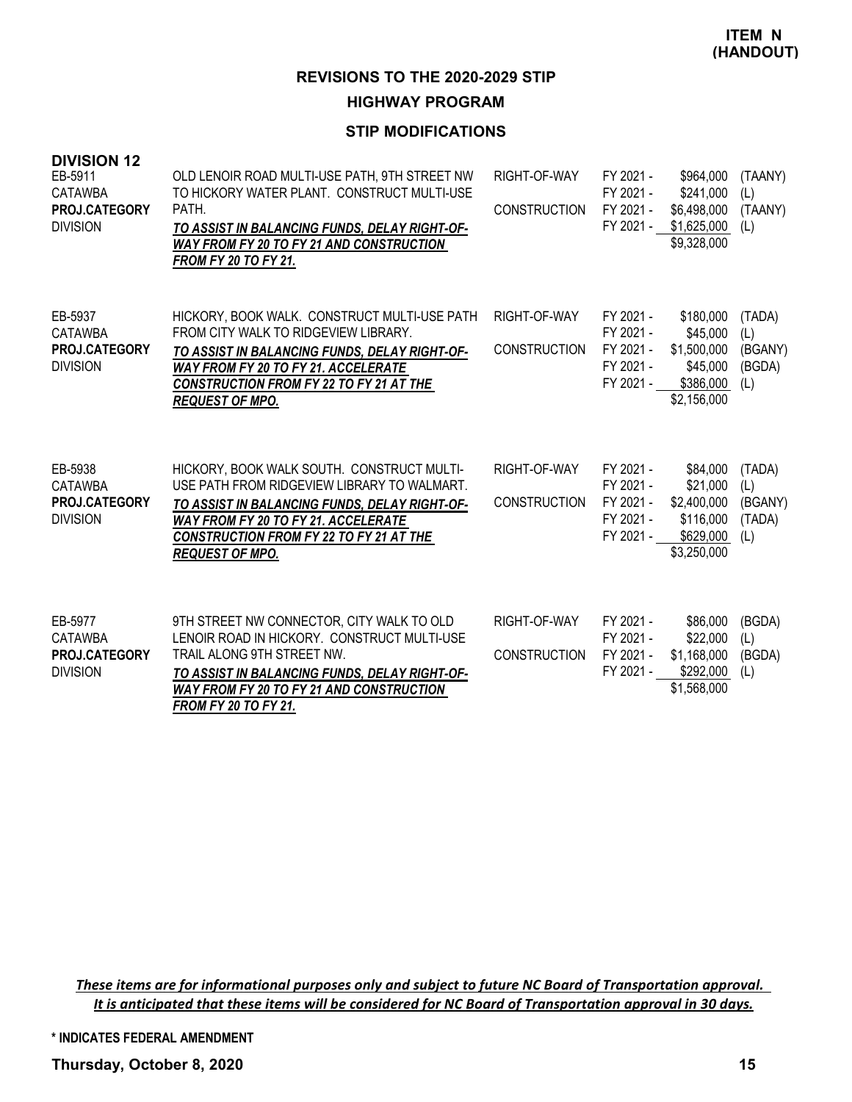### **STIP MODIFICATIONS**

| <b>DIVISION 12</b><br>EB-5911<br><b>CATAWBA</b><br>PROJ.CATEGORY<br><b>DIVISION</b> | OLD LENOIR ROAD MULTI-USE PATH, 9TH STREET NW<br>TO HICKORY WATER PLANT. CONSTRUCT MULTI-USE<br>PATH.<br>TO ASSIST IN BALANCING FUNDS, DELAY RIGHT-OF-<br><b>WAY FROM FY 20 TO FY 21 AND CONSTRUCTION</b><br><b>FROM FY 20 TO FY 21.</b>                        | RIGHT-OF-WAY<br><b>CONSTRUCTION</b> | FY 2021 -<br>FY 2021 -<br>FY 2021 -<br>FY 2021 -              | \$964,000<br>\$241,000<br>\$6,498,000<br>\$1,625,000<br>\$9,328,000          | (TAANY)<br>(L)<br>(TAANY)<br>(L)          |
|-------------------------------------------------------------------------------------|-----------------------------------------------------------------------------------------------------------------------------------------------------------------------------------------------------------------------------------------------------------------|-------------------------------------|---------------------------------------------------------------|------------------------------------------------------------------------------|-------------------------------------------|
| EB-5937<br><b>CATAWBA</b><br>PROJ.CATEGORY<br><b>DIVISION</b>                       | HICKORY, BOOK WALK. CONSTRUCT MULTI-USE PATH<br>FROM CITY WALK TO RIDGEVIEW LIBRARY.<br>TO ASSIST IN BALANCING FUNDS, DELAY RIGHT-OF-<br><b>WAY FROM FY 20 TO FY 21. ACCELERATE</b><br><b>CONSTRUCTION FROM FY 22 TO FY 21 AT THE</b><br><b>REQUEST OF MPO.</b> | RIGHT-OF-WAY<br><b>CONSTRUCTION</b> | FY 2021 -<br>FY 2021 -<br>FY 2021 -<br>FY 2021 -<br>FY 2021 - | \$180,000<br>\$45,000<br>\$1,500,000<br>\$45,000<br>\$386,000<br>\$2,156,000 | (TADA)<br>(L)<br>(BGANY)<br>(BGDA)<br>(L) |
| EB-5938<br><b>CATAWBA</b><br>PROJ.CATEGORY<br><b>DIVISION</b>                       | HICKORY, BOOK WALK SOUTH. CONSTRUCT MULTI-<br>USE PATH FROM RIDGEVIEW LIBRARY TO WALMART.<br>TO ASSIST IN BALANCING FUNDS, DELAY RIGHT-OF-<br><b>WAY FROM FY 20 TO FY 21. ACCELERATE</b><br>CONSTRUCTION FROM FY 22 TO FY 21 AT THE<br><b>REQUEST OF MPO.</b>   | RIGHT-OF-WAY<br><b>CONSTRUCTION</b> | FY 2021 -<br>FY 2021 -<br>FY 2021 -<br>FY 2021 -<br>FY 2021 - | \$84,000<br>\$21,000<br>\$2,400,000<br>\$116,000<br>\$629,000<br>\$3,250,000 | (TADA)<br>(L)<br>(BGANY)<br>(TADA)<br>(L) |
| EB-5977<br><b>CATAWBA</b><br>PROJ.CATEGORY<br><b>DIVISION</b>                       | 9TH STREET NW CONNECTOR, CITY WALK TO OLD<br>LENOIR ROAD IN HICKORY. CONSTRUCT MULTI-USE<br>TRAIL ALONG 9TH STREET NW.<br>TO ASSIST IN BALANCING FUNDS, DELAY RIGHT-OF-<br><b>WAY FROM FY 20 TO FY 21 AND CONSTRUCTION</b><br><b>FROM FY 20 TO FY 21.</b>       | RIGHT-OF-WAY<br><b>CONSTRUCTION</b> | FY 2021 -<br>FY 2021 -<br>FY 2021 -<br>FY 2021 -              | \$86,000<br>\$22,000<br>\$1,168,000<br>\$292,000<br>\$1,568,000              | (BGDA)<br>(L)<br>(BGDA)<br>(L)            |

These items are for informational purposes only and subject to future NC Board of Transportation approval. It is anticipated that these items will be considered for NC Board of Transportation approval in 30 days.

**\* INDICATES FEDERAL AMENDMENT**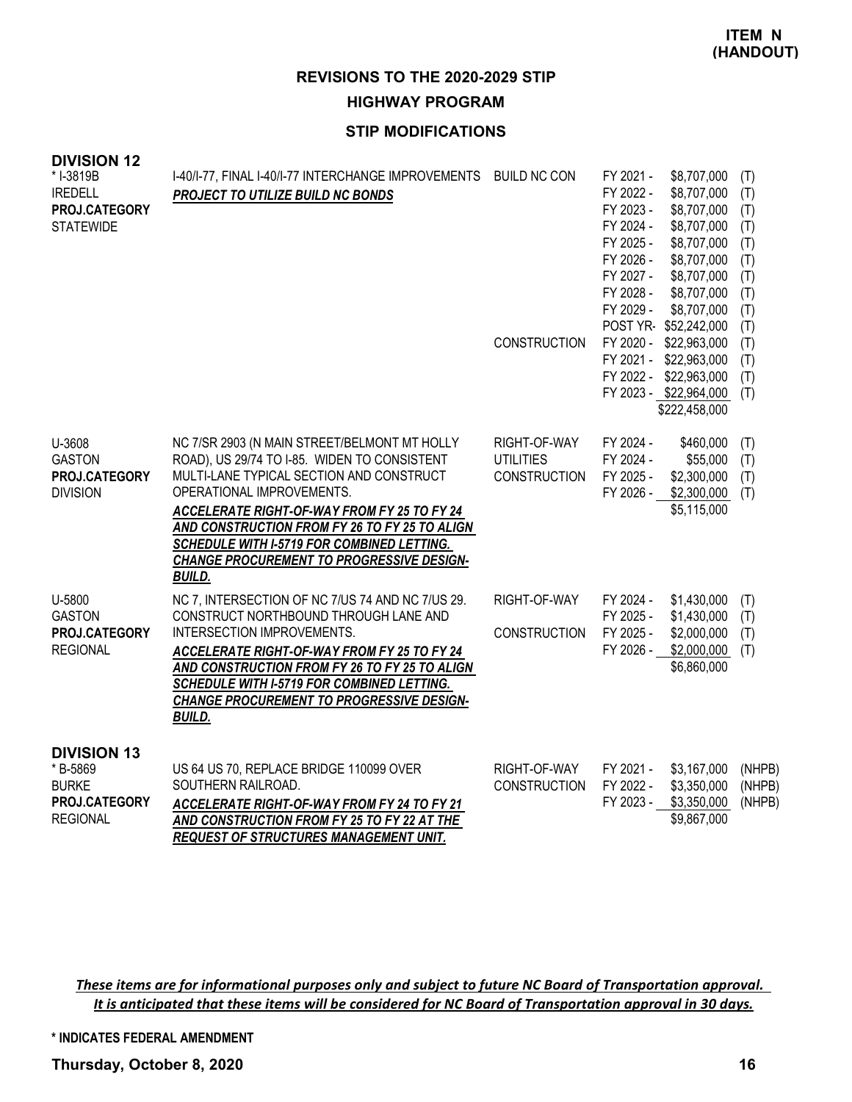**ITEM N (HANDOUT)**

# **REVISIONS TO THE 2020-2029 STIP HIGHWAY PROGRAM**

## **STIP MODIFICATIONS**

| <b>DIVISION 12</b><br>* I-3819B<br><b>IREDELL</b><br>PROJ.CATEGORY<br><b>STATEWIDE</b>    | I-40/I-77, FINAL I-40/I-77 INTERCHANGE IMPROVEMENTS BUILD NC CON<br>PROJECT TO UTILIZE BUILD NC BONDS                                                                                                                                                                                                                                                                             | <b>CONSTRUCTION</b>                                     | FY 2021 -<br>FY 2022 -<br>FY 2023 -<br>FY 2024 -<br>FY 2025 -<br>FY 2026 -<br>FY 2027 -<br>FY 2028 -<br>FY 2029 - | \$8,707,000<br>\$8,707,000<br>\$8,707,000<br>\$8,707,000<br>\$8,707,000<br>\$8,707,000<br>\$8,707,000<br>\$8,707,000<br>\$8,707,000<br>POST YR-\$52,242,000<br>FY 2020 - \$22,963,000 | (T)<br>(T)<br>(T)<br>(T)<br>(T)<br>(T)<br>(T)<br>(T)<br>(T)<br>(T)<br>(T) |
|-------------------------------------------------------------------------------------------|-----------------------------------------------------------------------------------------------------------------------------------------------------------------------------------------------------------------------------------------------------------------------------------------------------------------------------------------------------------------------------------|---------------------------------------------------------|-------------------------------------------------------------------------------------------------------------------|---------------------------------------------------------------------------------------------------------------------------------------------------------------------------------------|---------------------------------------------------------------------------|
|                                                                                           |                                                                                                                                                                                                                                                                                                                                                                                   |                                                         |                                                                                                                   | FY 2021 - \$22,963,000<br>FY 2022 - \$22,963,000<br>FY 2023 - \$22,964,000<br>\$222,458,000                                                                                           | (T)<br>(T)<br>(T)                                                         |
| U-3608<br><b>GASTON</b><br>PROJ.CATEGORY<br><b>DIVISION</b>                               | NC 7/SR 2903 (N MAIN STREET/BELMONT MT HOLLY<br>ROAD), US 29/74 TO I-85. WIDEN TO CONSISTENT<br>MULTI-LANE TYPICAL SECTION AND CONSTRUCT<br>OPERATIONAL IMPROVEMENTS.<br>ACCELERATE RIGHT-OF-WAY FROM FY 25 TO FY 24<br>AND CONSTRUCTION FROM FY 26 TO FY 25 TO ALIGN<br>SCHEDULE WITH I-5719 FOR COMBINED LETTING.<br>CHANGE PROCUREMENT TO PROGRESSIVE DESIGN-<br><b>BUILD.</b> | RIGHT-OF-WAY<br><b>UTILITIES</b><br><b>CONSTRUCTION</b> | FY 2024 -<br>FY 2024 -<br>FY 2025 -<br>FY 2026 -                                                                  | \$460,000<br>\$55,000<br>\$2,300,000<br>\$2,300,000<br>\$5,115,000                                                                                                                    | (T)<br>(T)<br>(T)<br>(T)                                                  |
| U-5800<br><b>GASTON</b><br>PROJ.CATEGORY<br><b>REGIONAL</b>                               | NC 7, INTERSECTION OF NC 7/US 74 AND NC 7/US 29.<br>CONSTRUCT NORTHBOUND THROUGH LANE AND<br>INTERSECTION IMPROVEMENTS.<br><b>ACCELERATE RIGHT-OF-WAY FROM FY 25 TO FY 24</b><br>AND CONSTRUCTION FROM FY 26 TO FY 25 TO ALIGN<br>SCHEDULE WITH I-5719 FOR COMBINED LETTING.<br><b>CHANGE PROCUREMENT TO PROGRESSIVE DESIGN-</b><br><b>BUILD.</b>                                 | RIGHT-OF-WAY<br><b>CONSTRUCTION</b>                     | FY 2024 -<br>FY 2025 -<br>FY 2025 -<br>FY 2026 -                                                                  | \$1,430,000<br>\$1,430,000<br>\$2,000,000<br>\$2,000,000<br>\$6,860,000                                                                                                               | (T)<br>(T)<br>(T)<br>(T)                                                  |
| <b>DIVISION 13</b><br>* B-5869<br><b>BURKE</b><br><b>PROJ.CATEGORY</b><br><b>REGIONAL</b> | US 64 US 70, REPLACE BRIDGE 110099 OVER<br>SOUTHERN RAILROAD.<br>ACCELERATE RIGHT-OF-WAY FROM FY 24 TO FY 21<br>AND CONSTRUCTION FROM FY 25 TO FY 22 AT THE<br><b>REQUEST OF STRUCTURES MANAGEMENT UNIT.</b>                                                                                                                                                                      | RIGHT-OF-WAY<br><b>CONSTRUCTION</b>                     | FY 2021 -<br>FY 2022 -<br>FY 2023 -                                                                               | \$3,167,000<br>\$3,350,000<br>\$3,350,000<br>\$9,867,000                                                                                                                              | (NHPB)<br>(NHPB)<br>(NHPB)                                                |

These items are for informational purposes only and subject to future NC Board of Transportation approval. It is anticipated that these items will be considered for NC Board of Transportation approval in 30 days.

**\* INDICATES FEDERAL AMENDMENT**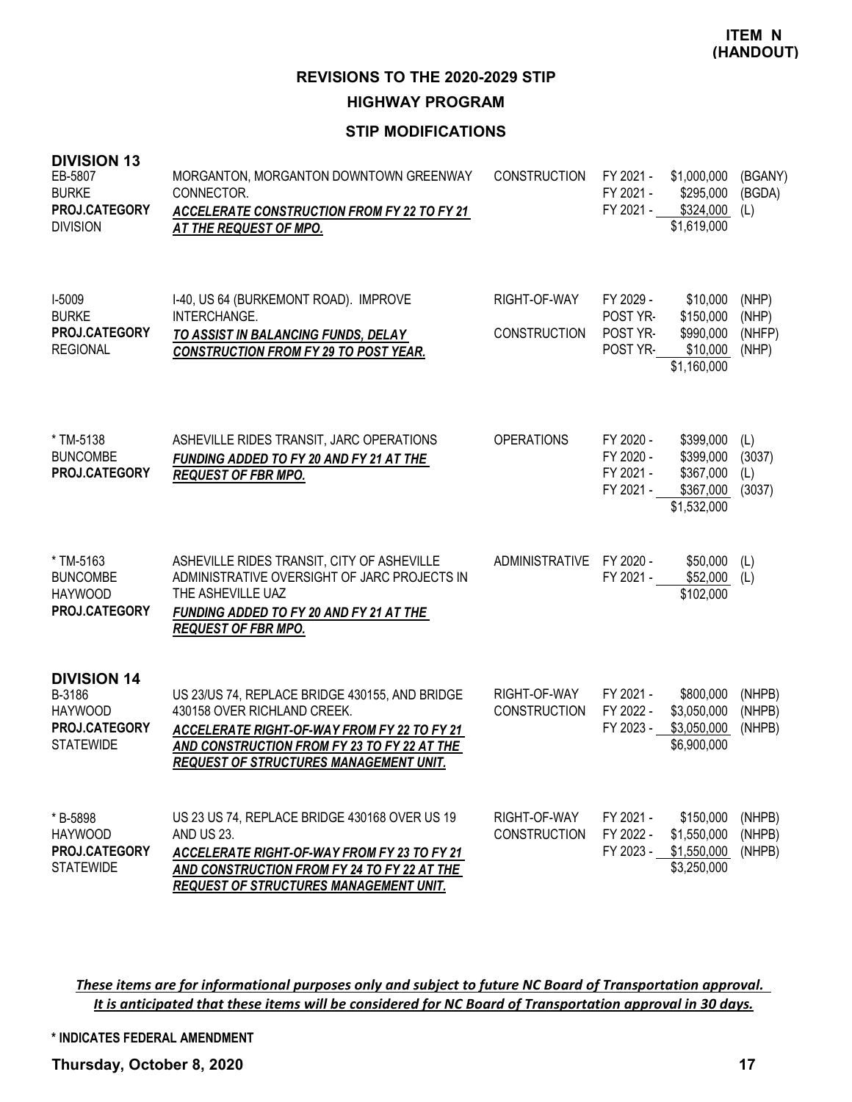### **STIP MODIFICATIONS**

| <b>DIVISION 13</b><br>EB-5807<br><b>BURKE</b><br>PROJ.CATEGORY<br><b>DIVISION</b>   | MORGANTON, MORGANTON DOWNTOWN GREENWAY<br>CONNECTOR.<br><b>ACCELERATE CONSTRUCTION FROM FY 22 TO FY 21</b><br>AT THE REQUEST OF MPO.                                                                                  | <b>CONSTRUCTION</b>                 | FY 2021 -<br>FY 2021 -<br>FY 2021 -              | \$1,000,000<br>\$295,000<br>\$324,000<br>\$1,619,000            | (BGANY)<br>(BGDA)<br>(L)          |
|-------------------------------------------------------------------------------------|-----------------------------------------------------------------------------------------------------------------------------------------------------------------------------------------------------------------------|-------------------------------------|--------------------------------------------------|-----------------------------------------------------------------|-----------------------------------|
| I-5009<br><b>BURKE</b><br>PROJ.CATEGORY<br><b>REGIONAL</b>                          | I-40, US 64 (BURKEMONT ROAD). IMPROVE<br>INTERCHANGE.<br>TO ASSIST IN BALANCING FUNDS, DELAY<br><b>CONSTRUCTION FROM FY 29 TO POST YEAR.</b>                                                                          | RIGHT-OF-WAY<br><b>CONSTRUCTION</b> | FY 2029 -<br>POST YR-<br>POST YR-<br>POST YR-    | \$10,000<br>\$150,000<br>\$990,000<br>\$10,000<br>\$1,160,000   | (NHP)<br>(NHP)<br>(NHFP)<br>(NHP) |
| * TM-5138<br><b>BUNCOMBE</b><br>PROJ.CATEGORY                                       | ASHEVILLE RIDES TRANSIT, JARC OPERATIONS<br>FUNDING ADDED TO FY 20 AND FY 21 AT THE<br><b>REQUEST OF FBR MPO.</b>                                                                                                     | <b>OPERATIONS</b>                   | FY 2020 -<br>FY 2020 -<br>FY 2021 -<br>FY 2021 - | \$399,000<br>\$399,000<br>\$367,000<br>\$367,000<br>\$1,532,000 | (L)<br>(3037)<br>(L)<br>(3037)    |
| * TM-5163<br><b>BUNCOMBE</b><br><b>HAYWOOD</b><br>PROJ.CATEGORY                     | ASHEVILLE RIDES TRANSIT, CITY OF ASHEVILLE<br>ADMINISTRATIVE OVERSIGHT OF JARC PROJECTS IN<br>THE ASHEVILLE UAZ<br>FUNDING ADDED TO FY 20 AND FY 21 AT THE<br><b>REQUEST OF FBR MPO.</b>                              | <b>ADMINISTRATIVE</b>               | FY 2020 -<br>FY 2021 -                           | \$50,000<br>\$52,000<br>\$102,000                               | (L)<br>(L)                        |
| <b>DIVISION 14</b><br>B-3186<br><b>HAYWOOD</b><br>PROJ.CATEGORY<br><b>STATEWIDE</b> | US 23/US 74, REPLACE BRIDGE 430155, AND BRIDGE<br>430158 OVER RICHLAND CREEK.<br>ACCELERATE RIGHT-OF-WAY FROM FY 22 TO FY 21<br>AND CONSTRUCTION FROM FY 23 TO FY 22 AT THE<br>REQUEST OF STRUCTURES MANAGEMENT UNIT. | RIGHT-OF-WAY<br><b>CONSTRUCTION</b> | FY 2021 -<br>FY 2022 -<br>FY 2023 -              | \$800,000<br>\$3,050,000<br>\$3,050,000<br>\$6,900,000          | (NHPB)<br>(NHPB)<br>(NHPB)        |
| * B-5898<br><b>HAYWOOD</b><br>PROJ.CATEGORY<br><b>STATEWIDE</b>                     | US 23 US 74, REPLACE BRIDGE 430168 OVER US 19<br><b>AND US 23.</b><br>ACCELERATE RIGHT-OF-WAY FROM FY 23 TO FY 21<br>AND CONSTRUCTION FROM FY 24 TO FY 22 AT THE<br>REQUEST OF STRUCTURES MANAGEMENT UNIT.            | RIGHT-OF-WAY<br><b>CONSTRUCTION</b> | FY 2021 -<br>FY 2022 -<br>FY 2023 -              | \$150,000<br>\$1,550,000<br>\$1,550,000<br>\$3,250,000          | (NHPB)<br>(NHPB)<br>(NHPB)        |

These items are for informational purposes only and subject to future NC Board of Transportation approval. It is anticipated that these items will be considered for NC Board of Transportation approval in 30 days.

**\* INDICATES FEDERAL AMENDMENT**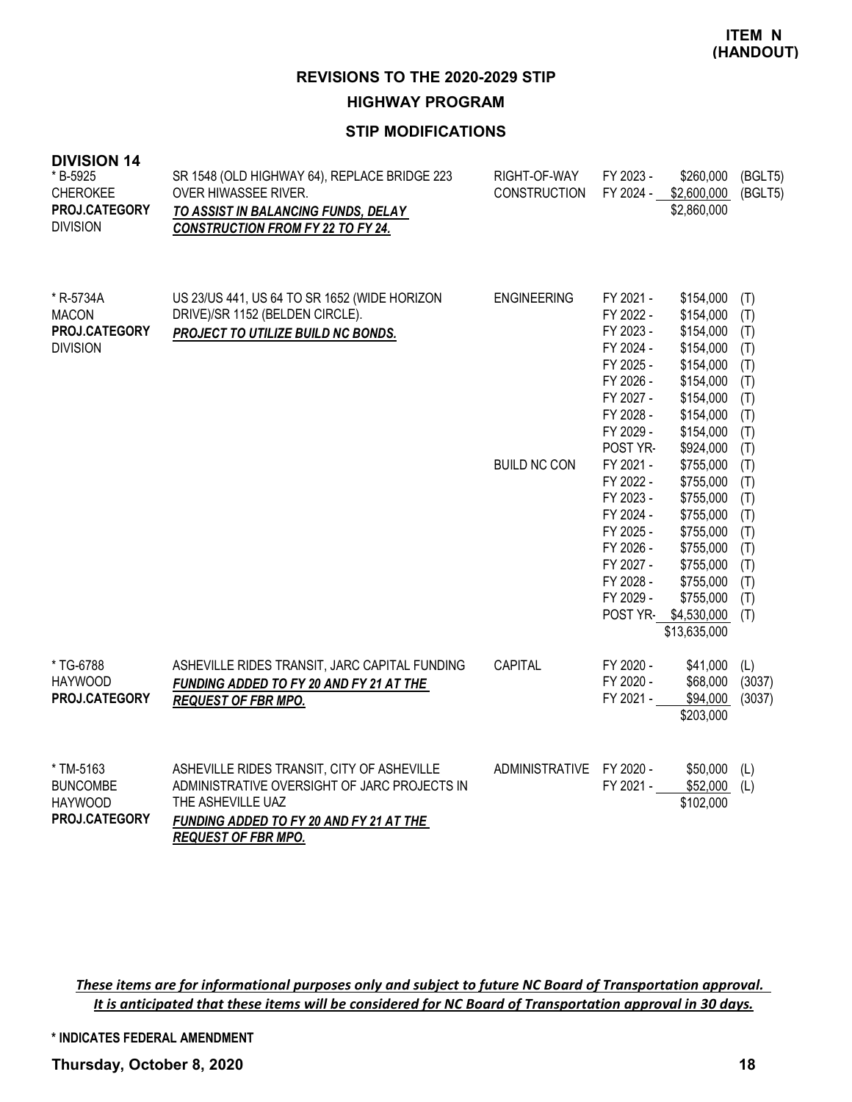### **STIP MODIFICATIONS**

| <b>DIVISION 14</b><br>* B-5925<br><b>CHEROKEE</b><br>PROJ.CATEGORY<br><b>DIVISION</b> | SR 1548 (OLD HIGHWAY 64), REPLACE BRIDGE 223<br>OVER HIWASSEE RIVER.<br>TO ASSIST IN BALANCING FUNDS, DELAY<br><b>CONSTRUCTION FROM FY 22 TO FY 24.</b>                                  | RIGHT-OF-WAY<br><b>CONSTRUCTION</b> | FY 2023 -<br>FY 2024 -                                                                                                        | \$260,000<br>\$2,600,000<br>\$2,860,000                                                                                                          | (BGLT5)<br>(BGLT5)                                                 |
|---------------------------------------------------------------------------------------|------------------------------------------------------------------------------------------------------------------------------------------------------------------------------------------|-------------------------------------|-------------------------------------------------------------------------------------------------------------------------------|--------------------------------------------------------------------------------------------------------------------------------------------------|--------------------------------------------------------------------|
| * R-5734A<br><b>MACON</b><br>PROJ.CATEGORY<br><b>DIVISION</b>                         | US 23/US 441, US 64 TO SR 1652 (WIDE HORIZON<br>DRIVE)/SR 1152 (BELDEN CIRCLE).<br>PROJECT TO UTILIZE BUILD NC BONDS.                                                                    | <b>ENGINEERING</b>                  | FY 2021 -<br>FY 2022 -<br>FY 2023 -<br>FY 2024 -<br>FY 2025 -<br>FY 2026 -<br>FY 2027 -<br>FY 2028 -<br>FY 2029 -<br>POST YR- | \$154,000<br>\$154,000<br>\$154,000<br>\$154,000<br>\$154,000<br>\$154,000<br>\$154,000<br>\$154,000<br>\$154,000<br>\$924,000                   | (T)<br>(T)<br>(T)<br>(T)<br>(T)<br>(T)<br>(T)<br>(T)<br>(T)<br>(T) |
|                                                                                       |                                                                                                                                                                                          | <b>BUILD NC CON</b>                 | FY 2021 -<br>FY 2022 -<br>FY 2023 -<br>FY 2024 -<br>FY 2025 -<br>FY 2026 -<br>FY 2027 -<br>FY 2028 -<br>FY 2029 -<br>POST YR- | \$755,000<br>\$755,000<br>\$755,000<br>\$755,000<br>\$755,000<br>\$755,000<br>\$755,000<br>\$755,000<br>\$755,000<br>\$4,530,000<br>\$13,635,000 | (T)<br>(T)<br>(T)<br>(T)<br>(T)<br>(T)<br>(T)<br>(T)<br>(T)<br>(T) |
| * TG-6788<br><b>HAYWOOD</b><br>PROJ.CATEGORY                                          | ASHEVILLE RIDES TRANSIT, JARC CAPITAL FUNDING<br>FUNDING ADDED TO FY 20 AND FY 21 AT THE<br><b>REQUEST OF FBR MPO.</b>                                                                   | CAPITAL                             | FY 2020 -<br>FY 2020 -<br>FY 2021 -                                                                                           | \$41,000<br>\$68,000<br>\$94,000<br>\$203,000                                                                                                    | (L)<br>(3037)<br>(3037)                                            |
| * TM-5163<br><b>BUNCOMBE</b><br><b>HAYWOOD</b><br>PROJ.CATEGORY                       | ASHEVILLE RIDES TRANSIT, CITY OF ASHEVILLE<br>ADMINISTRATIVE OVERSIGHT OF JARC PROJECTS IN<br>THE ASHEVILLE UAZ<br>FUNDING ADDED TO FY 20 AND FY 21 AT THE<br><b>REQUEST OF FBR MPO.</b> | ADMINISTRATIVE                      | FY 2020 -<br>FY 2021 -                                                                                                        | \$50,000<br>\$52,000<br>\$102,000                                                                                                                | (L)<br>(L)                                                         |

These items are for informational purposes only and subject to future NC Board of Transportation approval. It is anticipated that these items will be considered for NC Board of Transportation approval in 30 days.

**\* INDICATES FEDERAL AMENDMENT**